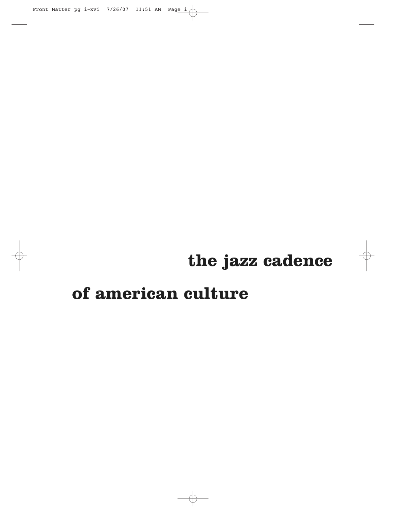## **the jazz cadence**

## **of american culture**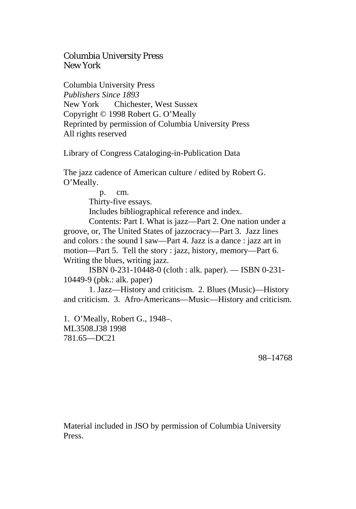Columbia University Press New York

Columbia University Press *Publishers Since 1893*  New York Chichester, West Sussex Copyright © 1998 Robert G. O'Meally Reprinted by permission of Columbia University Press All rights reserved

Library of Congress Cataloging-in-Publication Data

The jazz cadence of American culture / edited by Robert G. O'Meally.

> p. cm. Thirty-five essays. Includes bibliographical reference and index.

 Contents: Part I. What is jazz—Part 2. One nation under a groove, or, The United States of jazzocracy—Part 3. Jazz lines and colors : the sound I saw—Part 4. Jazz is a dance : jazz art in motion—Part 5. Tell the story : jazz, history, memory—Part 6. Writing the blues, writing jazz.

 ISBN 0-231-10448-0 (cloth : alk. paper). — ISBN 0-231- 10449-9 (pbk.: alk. paper)

 1. Jazz—History and criticism. 2. Blues (Music)—History and criticism. 3. Afro-Americans—Music—History and criticism.

1. O'Meally, Robert G., 1948–. ML3508.J38 1998 781.65—DC21

98–14768

Material included in JSO by permission of Columbia University Press.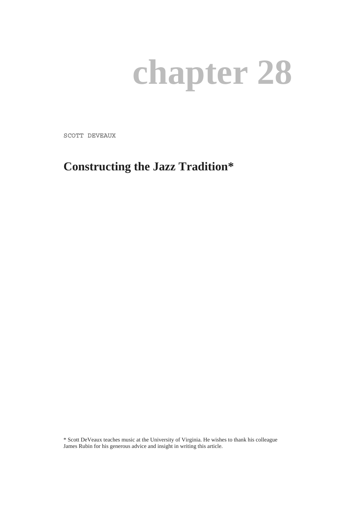# **chapter 28**

SCOTT DEVEAUX

### **Constructing the Jazz Tradition\***

\* Scott DeVeaux teaches music at the University of Virginia. He wishes to thank his colleague James Rubin for his generous advice and insight in writing this article.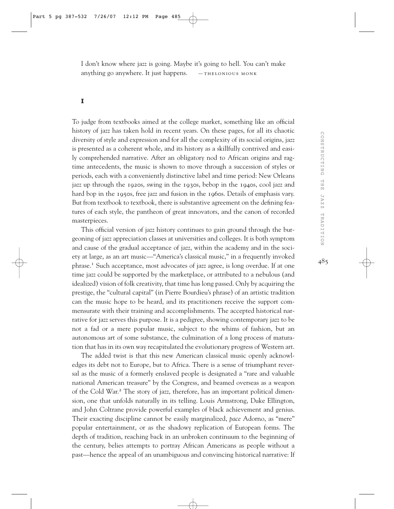I don't know where jazz is going. Maybe it's going to hell. You can't make anything go anywhere. It just happens.  $\tau$ HELONIOUS MONK

**I**

To judge from textbooks aimed at the college market, something like an official history of jazz has taken hold in recent years. On these pages, for all its chaotic diversity of style and expression and for all the complexity of its social origins, jazz is presented as a coherent whole, and its history as a skillfully contrived and easily comprehended narrative. After an obligatory nod to African origins and ragtime antecedents, the music is shown to move through a succession of styles or periods, each with a conveniently distinctive label and time period: New Orleans jazz up through the 1920s, swing in the 1930s, bebop in the 1940s, cool jazz and hard bop in the 1950s, free jazz and fusion in the 1960s. Details of emphasis vary. But from textbook to textbook, there is substantive agreement on the defining features of each style, the pantheon of great innovators, and the canon of recorded masterpieces.

This official version of jazz history continues to gain ground through the burgeoning of jazz appreciation classes at universities and colleges. It is both symptom and cause of the gradual acceptance of jazz, within the academy and in the society at large, as an art music—"America's classical music," in a frequently invoked phrase.<sup>1</sup> Such acceptance, most advocates of jazz agree, is long overdue. If at one time jazz could be supported by the marketplace, or attributed to a nebulous (and idealized) vision of folk creativity, that time has long passed. Only by acquiring the prestige, the "cultural capital" (in Pierre Bourdieu's phrase) of an artistic tradition can the music hope to be heard, and its practitioners receive the support commensurate with their training and accomplishments. The accepted historical narrative for jazz serves this purpose. It is a pedigree, showing contemporary jazz to be not a fad or a mere popular music, subject to the whims of fashion, but an autonomous art of some substance, the culmination of a long process of maturation that has in its own way recapitulated the evolutionary progress of Western art.

The added twist is that this new American classical music openly acknowledges its debt not to Europe, but to Africa. There is a sense of triumphant reversal as the music of a formerly enslaved people is designated a "rare and valuable national American treasure" by the Congress, and beamed overseas as a weapon of the Cold War.<sup>2</sup> The story of jazz, therefore, has an important political dimension, one that unfolds naturally in its telling. Louis Armstrong, Duke Ellington, and John Coltrane provide powerful examples of black achievement and genius. Their exacting discipline cannot be easily marginalized, *pace* Adorno, as "mere" popular entertainment, or as the shadowy replication of European forms. The depth of tradition, reaching back in an unbroken continuum to the beginning of the century, belies attempts to portray African Americans as people without a past—hence the appeal of an unambiguous and convincing historical narrative: If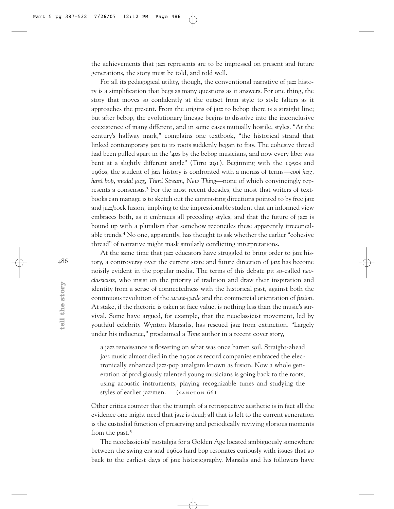the achievements that jazz represents are to be impressed on present and future generations, the story must be told, and told well.

For all its pedagogical utility, though, the conventional narrative of jazz history is a simplification that begs as many questions as it answers. For one thing, the story that moves so confidently at the outset from style to style falters as it approaches the present. From the origins of jazz to bebop there is a straight line; but after bebop, the evolutionary lineage begins to dissolve into the inconclusive coexistence of many different, and in some cases mutually hostile, styles. "At the century's halfway mark," complains one textbook, "the historical strand that linked contemporary jazz to its roots suddenly began to fray. The cohesive thread had been pulled apart in the '40s by the bebop musicians, and now every fiber was bent at a slightly different angle" (Tirro 291). Beginning with the 1950s and 1960s, the student of jazz history is confronted with a morass of terms—*cool jazz*, *hard bop*, *modal jazz*, *Third Stream*, *New Thing*—none of which convincingly represents a consensus.<sup>3</sup> For the most recent decades, the most that writers of textbooks can manage is to sketch out the contrasting directions pointed to by free jazz and jazz/rock fusion, implying to the impressionable student that an informed view embraces both, as it embraces all preceding styles, and that the future of jazz is bound up with a pluralism that somehow reconciles these apparently irreconcilable trends.<sup>4</sup> No one, apparently, has thought to ask whether the earlier "cohesive thread" of narrative might mask similarly conflicting interpretations.

At the same time that jazz educators have struggled to bring order to jazz history, a controversy over the current state and future direction of jazz has become noisily evident in the popular media. The terms of this debate pit so-called *neoclassicists*, who insist on the priority of tradition and draw their inspiration and identity from a sense of connectedness with the historical past, against both the continuous revolution of the *avant-garde* and the commercial orientation of *fusion*. At stake, if the rhetoric is taken at face value, is nothing less than the music's survival. Some have argued, for example, that the neoclassicist movement, led by youthful celebrity Wynton Marsalis, has rescued jazz from extinction. "Largely under his influence," proclaimed a *Time* author in a recent cover story,

a jazz renaissance is flowering on what was once barren soil. Straight-ahead jazz music almost died in the 1970s as record companies embraced the electronically enhanced jazz-pop amalgam known as fusion. Now a whole generation of prodigiously talented young musicians is going back to the roots, using acoustic instruments, playing recognizable tunes and studying the styles of earlier jazzmen. (SANCTON 66)

Other critics counter that the triumph of a retrospective aesthetic is in fact all the evidence one might need that jazz is dead; all that is left to the current generation is the custodial function of preserving and periodically reviving glorious moments from the past.<sup>5</sup>

The neoclassicists' nostalgia for a Golden Age located ambiguously somewhere between the swing era and 1960s hard bop resonates curiously with issues that go back to the earliest days of jazz historiography. Marsalis and his followers have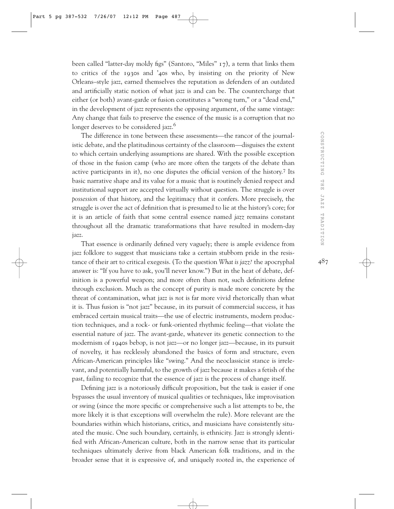been called "latter-day moldy figs" (Santoro, "Miles" 17), a term that links them to critics of the 1930s and '40s who, by insisting on the priority of New Orleans–style jazz, earned themselves the reputation as defenders of an outdated and artificially static notion of what jazz is and can be. The countercharge that either (or both) avant-garde or fusion constitutes a "wrong turn," or a "dead end," in the development of jazz represents the opposing argument, of the same vintage: Any change that fails to preserve the essence of the music is a corruption that no longer deserves to be considered jazz.<sup>6</sup>

The difference in tone between these assessments—the rancor of the journalistic debate, and the platitudinous certainty of the classroom—disguises the extent to which certain underlying assumptions are shared. With the possible exception of those in the fusion camp (who are more often the targets of the debate than active participants in it), no one disputes the official version of the history.<sup>7</sup> Its basic narrative shape and its value for a music that is routinely denied respect and institutional support are accepted virtually without question. The struggle is over *possession* of that history, and the legitimacy that it confers. More precisely, the struggle is over the act of definition that is presumed to lie at the history's core; for it is an article of faith that some central essence named *jazz* remains constant throughout all the dramatic transformations that have resulted in modern-day jazz.

That essence is ordinarily defined very vaguely; there is ample evidence from jazz folklore to suggest that musicians take a certain stubborn pride in the resistance of their art to critical exegesis. (To the question *What is jazz?* the apocryphal answer is: "If you have to ask, you'll never know.") But in the heat of debate, definition is a powerful weapon; and more often than not, such definitions define through exclusion. Much as the concept of purity is made more concrete by the threat of contamination, what jazz is *not* is far more vivid rhetorically than what it is. Thus fusion is "not jazz" because, in its pursuit of commercial success, it has embraced certain musical traits—the use of electric instruments, modern production techniques, and a rock- or funk-oriented rhythmic feeling—that violate the essential nature of jazz. The avant-garde, whatever its genetic connection to the modernism of 1940s bebop, is not jazz—or no longer jazz—because, in its pursuit of novelty, it has recklessly abandoned the basics of form and structure, even African-American principles like "swing." And the neoclassicist stance is irrelevant, and potentially harmful, to the growth of jazz because it makes a fetish of the past, failing to recognize that the essence of jazz is the process of change itself.

Defining jazz is a notoriously difficult proposition, but the task is easier if one bypasses the usual inventory of musical qualities or techniques, like improvisation or swing (since the more specific or comprehensive such a list attempts to be, the more likely it is that exceptions will overwhelm the rule). More relevant are the boundaries within which historians, critics, and musicians have consistently situated the music. One such boundary, certainly, is ethnicity. Jazz is strongly identified with African-American culture, both in the narrow sense that its particular techniques ultimately derive from black American folk traditions, and in the broader sense that it is expressive of, and uniquely rooted in, the experience of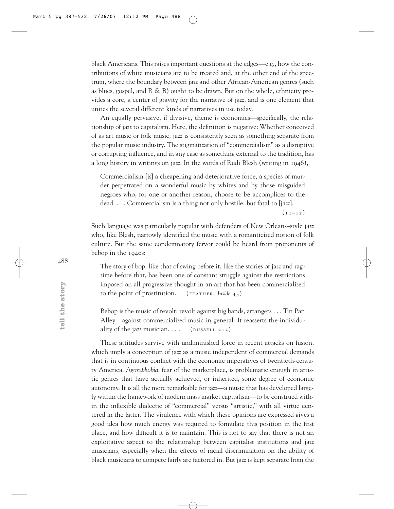black Americans. This raises important questions at the edges—e.g., how the contributions of white musicians are to be treated and, at the other end of the spectrum, where the boundary between jazz and other African-American genres (such as blues, gospel, and R & B) ought to be drawn. But on the whole, ethnicity provides a core, a center of gravity for the narrative of jazz, and is one element that unites the several different kinds of narratives in use today.

 $\mathbf{I}$ 

An equally pervasive, if divisive, theme is economics—specifically, the relationship of jazz to capitalism. Here, the definition is negative: Whether conceived of as art music or folk music, jazz is consistently seen as something separate from the popular music industry. The stigmatization of "commercialism" as a disruptive or corrupting influence, and in any case as something external to the tradition, has a long history in writings on jazz. In the words of Rudi Blesh (writing in 1946),

Commercialism [is] a cheapening and deteriorative force, a species of murder perpetrated on a wonderful music by whites and by those misguided negroes who, for one or another reason, choose to be accomplices to the dead. . . . Commercialism is a thing not only hostile, but fatal to [jazz].

 $(11-12)$ 

Such language was particularly popular with defenders of New Orleans–style jazz who, like Blesh, narrowly identified the music with a romanticized notion of folk culture. But the same condemnatory fervor could be heard from proponents of bebop in the 1940s:

The story of bop, like that of swing before it, like the stories of jazz and ragtime before that, has been one of constant struggle against the restrictions imposed on all progressive thought in an art that has been commercialized to the point of prostitution. (feather, *Inside* 45)

Bebop is the music of revolt: revolt against big bands, arrangers . . . Tin Pan Alley—against commercialized music in general. It reasserts the individuality of the jazz musician.  $\ldots$  (RUSSELL 202)

These attitudes survive with undiminished force in recent attacks on fusion, which imply a conception of jazz as a music independent of commercial demands that is in continuous conflict with the economic imperatives of twentieth-century America. *Agoraphobia*, fear of the marketplace, is problematic enough in artistic genres that have actually achieved, or inherited, some degree of economic autonomy. It is all the more remarkable for jazz—a music that has developed largely within the framework of modern mass market capitalism—to be construed within the inflexible dialectic of "commercial" versus "artistic," with all virtue centered in the latter. The virulence with which these opinions are expressed gives a good idea how much energy was required to formulate this position in the first place, and how difficult it is to maintain. This is not to say that there is not an exploitative aspect to the relationship between capitalist institutions and jazz musicians, especially when the effects of racial discrimination on the ability of black musicians to compete fairly are factored in. But jazz is kept separate from the

**tell the story**

tell the story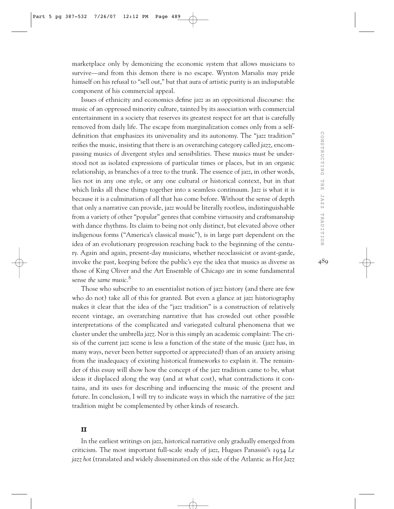marketplace only by demonizing the economic system that allows musicians to survive—and from this demon there is no escape. Wynton Marsalis may pride himself on his refusal to "sell out," but that aura of artistic purity is an indisputable component of his commercial appeal.

Issues of ethnicity and economics define jazz as an oppositional discourse: the music of an oppressed minority culture, tainted by its association with commercial entertainment in a society that reserves its greatest respect for art that is carefully removed from daily life. The escape from marginalization comes only from a selfdefinition that emphasizes its universality and its autonomy. The "jazz tradition" reifies the music, insisting that there is an overarching category called *jazz*, encompassing musics of divergent styles and sensibilities. These musics must be understood not as isolated expressions of particular times or places, but in an organic relationship, as branches of a tree to the trunk. The essence of jazz, in other words, lies not in any one style, or any one cultural or historical context, but in that which links all these things together into a seamless continuum. Jazz is what it is because it is a culmination of all that has come before. Without the sense of depth that only a narrative can provide, jazz would be literally rootless, indistinguishable from a variety of other "popular" genres that combine virtuosity and craftsmanship with dance rhythms. Its claim to being not only distinct, but elevated above other indigenous forms ("America's classical music"), is in large part dependent on the idea of an evolutionary progression reaching back to the beginning of the century. Again and again, present-day musicians, whether neoclassicist or avant-garde, invoke the past, keeping before the public's eye the idea that musics as diverse as those of King Oliver and the Art Ensemble of Chicago are in some fundamental sense *the same music*. 8

Those who subscribe to an essentialist notion of jazz history (and there are few who do not) take all of this for granted. But even a glance at jazz historiography makes it clear that the idea of the "jazz tradition" is a construction of relatively recent vintage, an overarching narrative that has crowded out other possible interpretations of the complicated and variegated cultural phenomena that we cluster under the umbrella *jazz*. Nor is this simply an academic complaint: The crisis of the current jazz scene is less a function of the state of the music (jazz has, in many ways, never been better supported or appreciated) than of an anxiety arising from the inadequacy of existing historical frameworks to explain it. The remainder of this essay will show how the concept of the jazz tradition came to be, what ideas it displaced along the way (and at what cost), what contradictions it contains, and its uses for describing and influencing the music of the present and future. In conclusion, I will try to indicate ways in which the narrative of the jazz tradition might be complemented by other kinds of research.

#### **II**

In the earliest writings on jazz, historical narrative only gradually emerged from criticism. The most important full-scale study of jazz, Hugues Panassié's 1934 *Le jazz hot* (translated and widely disseminated on this side of the Atlantic as *Hot Jazz*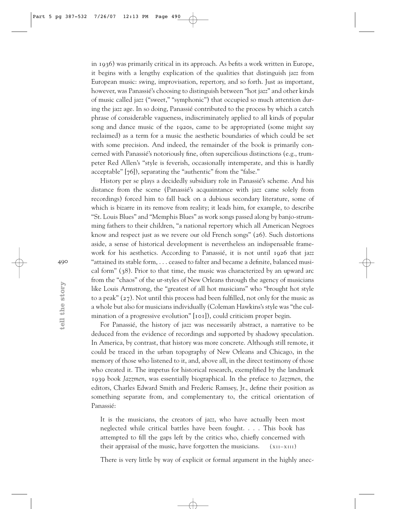in 1936) was primarily critical in its approach. As befits a work written in Europe, it begins with a lengthy explication of the qualities that distinguish jazz from European music: swing, improvisation, repertory, and so forth. Just as important, however, was Panassié's choosing to distinguish between "hot jazz" and other kinds of music called jazz ("sweet," "symphonic") that occupied so much attention during the jazz age. In so doing, Panassié contributed to the process by which a catch phrase of considerable vagueness, indiscriminately applied to all kinds of popular song and dance music of the 1920s, came to be appropriated (some might say reclaimed) as a term for a music the aesthetic boundaries of which could be set with some precision. And indeed, the remainder of the book is primarily concerned with Panassié's notoriously fine, often supercilious distinctions (e.g., trumpeter Red Allen's "style is feverish, occasionally intemperate, and this is hardly acceptable" [76]), separating the "authentic" from the "false."

 $\mathbf{I}$ 

History per se plays a decidedly subsidiary role in Panassié's scheme. And his distance from the scene (Panassié's acquaintance with jazz came solely from recordings) forced him to fall back on a dubious secondary literature, some of which is bizarre in its remove from reality; it leads him, for example, to describe "St. Louis Blues" and "Memphis Blues" as work songs passed along by banjo-strumming fathers to their children, "a national repertory which all American Negroes know and respect just as we revere our old French songs" (26). Such distortions aside, a sense of historical development is nevertheless an indispensable framework for his aesthetics. According to Panassié, it is not until 1926 that jazz "attained its stable form, . . . ceased to falter and became a definite, balanced musical form" (38). Prior to that time, the music was characterized by an upward arc from the "chaos" of the ur-styles of New Orleans through the agency of musicians like Louis Armstrong, the "greatest of all hot musicians" who "brought hot style to a peak" (27). Not until this process had been fulfilled, not only for the music as a whole but also for musicians individually (Coleman Hawkins's style was "the culmination of a progressive evolution" [101]), could criticism proper begin.

For Panassié, the history of jazz was necessarily abstract, a narrative to be deduced from the evidence of recordings and supported by shadowy speculation. In America, by contrast, that history was more concrete. Although still remote, it could be traced in the urban topography of New Orleans and Chicago, in the memory of those who listened to it, and, above all, in the direct testimony of those who created it. The impetus for historical research, exemplified by the landmark 1939 book *Jazzmen*, was essentially biographical. In the preface to *Jazzmen*, the editors, Charles Edward Smith and Frederic Ramsey, Jr., define their position as something separate from, and complementary to, the critical orientation of Panassié:

It is the musicians, the creators of jazz, who have actually been most neglected while critical battles have been fought. . . . This book has attempted to fill the gaps left by the critics who, chiefly concerned with their appraisal of the music, have forgotten the musicians.  $(xii-xiii)$ 

There is very little by way of explicit or formal argument in the highly anec-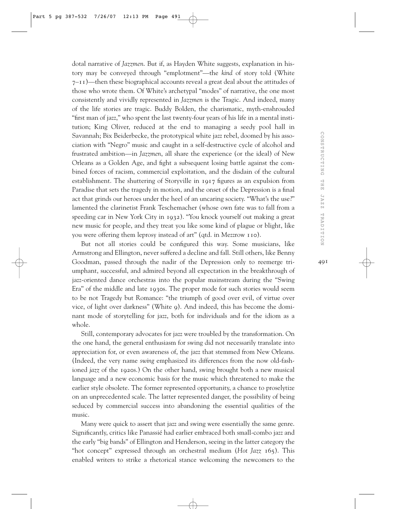dotal narrative of *Jazzmen*. But if, as Hayden White suggests, explanation in history may be conveyed through "emplotment"—the *kind* of story told (White 7–11)—then these biographical accounts reveal a great deal about the attitudes of those who wrote them. Of White's archetypal "modes" of narrative, the one most consistently and vividly represented in *Jazzmen* is the Tragic. And indeed, many of the life stories are tragic. Buddy Bolden, the charismatic, myth-enshrouded "first man of jazz," who spent the last twenty-four years of his life in a mental institution; King Oliver, reduced at the end to managing a seedy pool hall in Savannah; Bix Beiderbecke, the prototypical white jazz rebel, doomed by his association with "Negro" music and caught in a self-destructive cycle of alcohol and frustrated ambition—in *Jazzmen*, all share the experience (or the ideal) of New Orleans as a Golden Age, and fight a subsequent losing battle against the combined forces of racism, commercial exploitation, and the disdain of the cultural establishment. The shuttering of Storyville in 1917 figures as an expulsion from Paradise that sets the tragedy in motion, and the onset of the Depression is a final act that grinds our heroes under the heel of an uncaring society. "What's the use?" lamented the clarinetist Frank Teschemacher (whose own fate was to fall from a speeding car in New York City in 1932). "You knock yourself out making a great new music for people, and they treat you like some kind of plague or blight, like you were offering them leprosy instead of art" (qtd. in Mezzrow 110).

But not all stories could be configured this way. Some musicians, like Armstrong and Ellington, never suffered a decline and fall. Still others, like Benny Goodman, passed through the nadir of the Depression only to reemerge triumphant, successful, and admired beyond all expectation in the breakthrough of jazz-oriented dance orchestras into the popular mainstream during the "Swing Era" of the middle and late 1930s. The proper mode for such stories would seem to be not Tragedy but Romance: "the triumph of good over evil, of virtue over vice, of light over darkness" (White 9). And indeed, this has become the dominant mode of storytelling for jazz, both for individuals and for the idiom as a whole.

Still, contemporary advocates for jazz were troubled by the transformation. On the one hand, the general enthusiasm for swing did not necessarily translate into appreciation for, or even awareness of, the jazz that stemmed from New Orleans. (Indeed, the very name *swing* emphasized its differences from the now old-fashioned *jazz* of the 1920s.) On the other hand, swing brought both a new musical language and a new economic basis for the music which threatened to make the earlier style obsolete. The former represented opportunity, a chance to proselytize on an unprecedented scale. The latter represented danger, the possibility of being seduced by commercial success into abandoning the essential qualities of the music.

Many were quick to assert that jazz and swing were essentially the same genre. Significantly, critics like Panassié had earlier embraced both small-combo jazz and the early "big bands" of Ellington and Henderson, seeing in the latter category the "hot concept" expressed through an orchestral medium (*Hot Jazz* 165). This enabled writers to strike a rhetorical stance welcoming the newcomers to the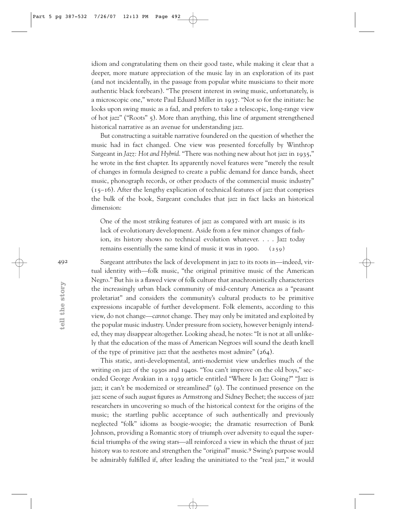idiom and congratulating them on their good taste, while making it clear that a deeper, more mature appreciation of the music lay in an exploration of its past (and not incidentally, in the passage from popular white musicians to their more authentic black forebears). "The present interest in swing music, unfortunately, is a microscopic one," wrote Paul Eduard Miller in 1937. "Not so for the initiate: he looks upon swing music as a fad, and prefers to take a telescopic, long-range view of hot jazz" ("Roots" 5). More than anything, this line of argument strengthened historical narrative as an avenue for understanding jazz.

 $\mathbf{I}$ 

But constructing a suitable narrative foundered on the question of whether the music had in fact changed. One view was presented forcefully by Winthrop Sargeant in *Jazz: Hot and Hybrid*. "There was nothing new about hot jazz in 1935," he wrote in the first chapter. Its apparently novel features were "merely the result of changes in formula designed to create a public demand for dance bands, sheet music, phonograph records, or other products of the commercial music industry" (15–16). After the lengthy explication of technical features of jazz that comprises the bulk of the book, Sargeant concludes that jazz in fact lacks an historical dimension:

One of the most striking features of jazz as compared with art music is its lack of evolutionary development. Aside from a few minor changes of fashion, its history shows no technical evolution whatever. . . . Jazz today remains essentially the same kind of music it was in 1900.  $(259)$ 

Sargeant attributes the lack of development in jazz to its roots in—indeed, virtual identity with—folk music, "the original primitive music of the American Negro." But his is a flawed view of folk culture that anachronistically characterizes the increasingly urban black community of mid-century America as a "peasant proletariat" and considers the community's cultural products to be primitive expressions incapable of further development. Folk elements, according to this view, do not change—*cannot* change. They may only be imitated and exploited by the popular music industry. Under pressure from society, however benignly intended, they may disappear altogether. Looking ahead, he notes: "It is not at all unlikely that the education of the mass of American Negroes will sound the death knell of the type of primitive jazz that the aesthetes most admire" (264).

This static, anti-developmental, anti-modernist view underlies much of the writing on jazz of the 1930s and 1940s. "You can't improve on the old boys," seconded George Avakian in a 1939 article entitled "Where Is Jazz Going?" "Jazz is jazz; it can't be modernized or streamlined" (9). The continued presence on the jazz scene of such august figures as Armstrong and Sidney Bechet; the success of jazz researchers in uncovering so much of the historical context for the origins of the music; the startling public acceptance of such authentically and previously neglected "folk" idioms as boogie-woogie; the dramatic resurrection of Bunk Johnson, providing a Romantic story of triumph over adversity to equal the superficial triumphs of the swing stars—all reinforced a view in which the thrust of jazz history was to restore and strengthen the "original" music.<sup>9</sup> Swing's purpose would be admirably fulfilled if, after leading the uninitiated to the "real jazz," it would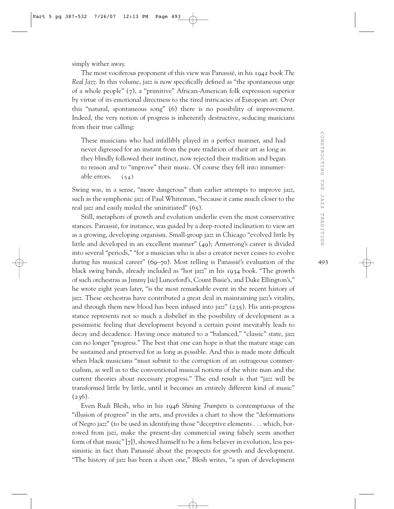simply wither away.

The most vociferous proponent of this view was Panassié, in his 1942 book *The Real Jazz*. In this volume, jazz is now specifically defined as "the spontaneous urge of a whole people" (7), a "primitive" African-American folk expression superior by virtue of its emotional directness to the tired intricacies of European art. Over this "natural, spontaneous song" (6) there is no possibility of improvement. Indeed, the very notion of progress is inherently destructive, seducing musicians from their true calling:

These musicians who had infallibly played in a perfect manner, and had never digressed for an instant from the pure tradition of their art as long as they blindly followed their instinct, now rejected their tradition and began to reason and to "improve" their music. Of course they fell into innumerable errors. (54)

Swing was, in a sense, "more dangerous" than earlier attempts to improve jazz, such as the symphonic jazz of Paul Whiteman, "because it came much closer to the real jazz and easily misled the uninitiated" (65).

Still, metaphors of growth and evolution underlie even the most conservative stances. Panassié, for instance, was guided by a deep-rooted inclination to view art as a growing, developing organism. Small-group jazz in Chicago "evolved little by little and developed in an excellent manner" (49); Armstrong's career is divided into several "periods," "for a musician who is also a creator never ceases to evolve during his musical career" (69–70). Most telling is Panassié's evaluation of the black swing bands, already included as "hot jazz" in his 1934 book. "The growth of such orchestras as Jimmy [*sic*] Lunceford's, Count Basie's, and Duke Ellington's," he wrote eight years later, "is the most remarkable event in the recent history of jazz. These orchestras have contributed a great deal in maintaining jazz's vitality, and through them new blood has been infused into jazz" (235). His anti-progress stance represents not so much a disbelief in the possibility of development as a pessimistic feeling that development beyond a certain point inevitably leads to decay and decadence. Having once matured to a "balanced," "classic" state, jazz can no longer "progress." The best that one can hope is that the mature stage can be sustained and preserved for as long as possible. And this is made more difficult when black musicians "must submit to the corruption of an outrageous commercialism, as well as to the conventional musical notions of the white man and the current theories about necessary progress." The end result is that "jazz will be transformed little by little, until it becomes an entirely different kind of music"  $(236)$ .

Even Rudi Blesh, who in his 1946 *Shining Trumpets* is contemptuous of the "illusion of progress" in the arts, and provides a chart to show the "deformations of Negro jazz" (to be used in identifying those "deceptive elements . . . which, borrowed from jazz, make the present-day commercial swing falsely seem another form of that music" [7]), showed himself to be a firm believer in evolution, less pessimistic in fact than Panassié about the prospects for growth and development. "The history of jazz has been a short one," Blesh writes, "a span of development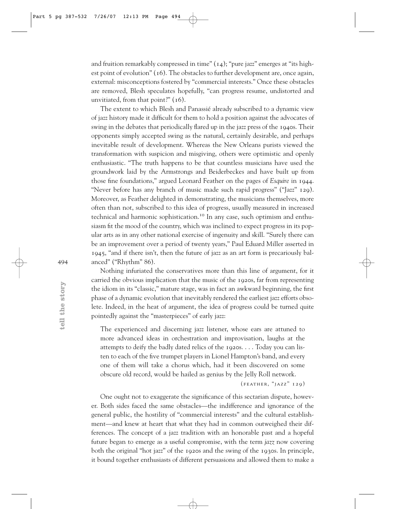and fruition remarkably compressed in time"  $(14)$ ; "pure jazz" emerges at "its highest point of evolution" (16). The obstacles to further development are, once again, external: misconceptions fostered by "commercial interests." Once these obstacles are removed, Blesh speculates hopefully, "can progress resume, undistorted and unvitiated, from that point?" (16).

 $\mathbf{I}$ 

The extent to which Blesh and Panassié already subscribed to a dynamic view of jazz history made it difficult for them to hold a position against the advocates of swing in the debates that periodically flared up in the jazz press of the 1940s. Their opponents simply accepted swing as the natural, certainly desirable, and perhaps inevitable result of development. Whereas the New Orleans purists viewed the transformation with suspicion and misgiving, others were optimistic and openly enthusiastic. "The truth happens to be that countless musicians have used the groundwork laid by the Armstrongs and Beiderbeckes and have built up from those fine foundations," argued Leonard Feather on the pages of *Esquire* in 1944. "Never before has any branch of music made such rapid progress" ("Jazz" 129). Moreover, as Feather delighted in demonstrating, the musicians themselves, more often than not, subscribed to this idea of progress, usually measured in increased technical and harmonic sophistication.<sup>10</sup> In any case, such optimism and enthusiasm fit the mood of the country, which was inclined to expect progress in its popular arts as in any other national exercise of ingenuity and skill. "Surely there can be an improvement over a period of twenty years," Paul Eduard Miller asserted in 1945, "and if there isn't, then the future of jazz as an art form is precariously balanced" ("Rhythm" 86).

Nothing infuriated the conservatives more than this line of argument, for it carried the obvious implication that the music of the 1920s, far from representing the idiom in its "classic," mature stage, was in fact an awkward beginning, the first phase of a dynamic evolution that inevitably rendered the earliest jazz efforts obsolete. Indeed, in the heat of argument, the idea of progress could be turned quite pointedly against the "masterpieces" of early jazz:

The experienced and discerning jazz listener, whose ears are attuned to more advanced ideas in orchestration and improvisation, laughs at the attempts to deify the badly dated relics of the 1920s. . . . Today you can listen to each of the five trumpet players in Lionel Hampton's band, and every one of them will take a chorus which, had it been discovered on some obscure old record, would be hailed as genius by the Jelly Roll network.

 $(FEATHER, "JAZZ" 129)$ 

One ought not to exaggerate the significance of this sectarian dispute, however. Both sides faced the same obstacles—the indifference and ignorance of the general public, the hostility of "commercial interests" and the cultural establishment—and knew at heart that what they had in common outweighed their differences. The concept of a jazz tradition with an honorable past and a hopeful future began to emerge as a useful compromise, with the term *jazz* now covering both the original "hot jazz" of the 1920s and the swing of the 1930s. In principle, it bound together enthusiasts of different persuasions and allowed them to make a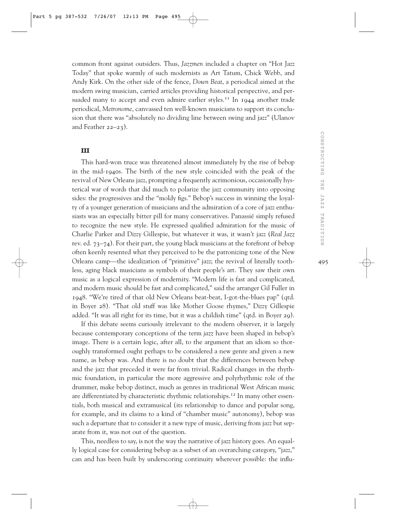common front against outsiders. Thus, *Jazzmen* included a chapter on "Hot Jazz Today" that spoke warmly of such modernists as Art Tatum, Chick Webb, and Andy Kirk. On the other side of the fence, *Down Beat*, a periodical aimed at the modern swing musician, carried articles providing historical perspective, and persuaded many to accept and even admire earlier styles.<sup>11</sup> In 1944 another trade periodical, *Metronome*, canvassed ten well-known musicians to support its conclusion that there was "absolutely no dividing line between swing and jazz" (Ulanov and Feather 22–23).

#### **III**

This hard-won truce was threatened almost immediately by the rise of bebop in the mid-1940s. The birth of the new style coincided with the peak of the revival of New Orleans jazz, prompting a frequently acrimonious, occasionally hysterical war of words that did much to polarize the jazz community into opposing sides: the progressives and the "moldy figs." Bebop's success in winning the loyalty of a younger generation of musicians and the admiration of a core of jazz enthusiasts was an especially bitter pill for many conservatives. Panassié simply refused to recognize the new style. He expressed qualified admiration for the music of Charlie Parker and Dizzy Gillespie, but whatever it was, it wasn't jazz (*Real Jazz* rev. ed. 73–74). For their part, the young black musicians at the forefront of bebop often keenly resented what they perceived to be the patronizing tone of the New Orleans camp—the idealization of "primitive" jazz; the revival of literally toothless, aging black musicians as symbols of their people's art. They saw their own music as a logical expression of modernity. "Modern life is fast and complicated, and modern music should be fast and complicated," said the arranger Gil Fuller in 1948. "We're tired of that old New Orleans beat-beat, I-got-the-blues pap" (qtd. in Boyer 28). "That old stuff was like Mother Goose rhymes," Dizzy Gillespie added. "It was all right for its time, but it was a childish time" (qtd. in Boyer 29).

If this debate seems curiously irrelevant to the modern observer, it is largely because contemporary conceptions of the term *jazz* have been shaped in bebop's image. There is a certain logic, after all, to the argument that an idiom so thoroughly transformed ought perhaps to be considered a new genre and given a new name, as bebop was. And there is no doubt that the differences between bebop and the jazz that preceded it were far from trivial. Radical changes in the rhythmic foundation, in particular the more aggressive and polyrhythmic role of the drummer, make bebop distinct, much as genres in traditional West African music are differentiated by characteristic rhythmic relationships.<sup>12</sup> In many other essentials, both musical and extramusical (its relationship to dance and popular song, for example, and its claims to a kind of "chamber music" autonomy), bebop was such a departure that to consider it a new type of music, deriving from jazz but separate from it, was not out of the question.

This, needless to say, is not the way the narrative of jazz history goes. An equally logical case for considering bebop as a subset of an overarching category, "jazz," can and has been built by underscoring continuity wherever possible: the influ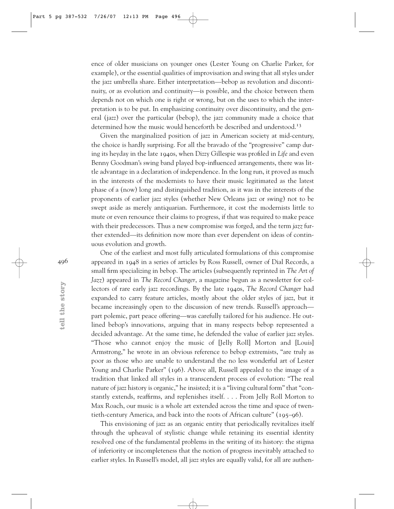ence of older musicians on younger ones (Lester Young on Charlie Parker, for example), or the essential qualities of improvisation and swing that all styles under the jazz umbrella share. Either interpretation—bebop as revolution and discontinuity, or as evolution and continuity—is possible, and the choice between them depends not on which one is right or wrong, but on the uses to which the interpretation is to be put. In emphasizing continuity over discontinuity, and the general (jazz) over the particular (bebop), the jazz community made a choice that determined how the music would henceforth be described and understood.<sup>13</sup>

Given the marginalized position of jazz in American society at mid-century, the choice is hardly surprising. For all the bravado of the "progressive" camp during its heyday in the late 1940s, when Dizzy Gillespie was profiled in *Life* and even Benny Goodman's swing band played bop-influenced arrangements, there was little advantage in a declaration of independence. In the long run, it proved as much in the interests of the modernists to have their music legitimated as the latest phase of a (now) long and distinguished tradition, as it was in the interests of the proponents of earlier jazz styles (whether New Orleans jazz or swing) not to be swept aside as merely antiquarian. Furthermore, it cost the modernists little to mute or even renounce their claims to progress, if that was required to make peace with their predecessors. Thus a new compromise was forged, and the term *jazz* further extended—its definition now more than ever dependent on ideas of continuous evolution and growth.

One of the earliest and most fully articulated formulations of this compromise appeared in 1948 in a series of articles by Ross Russell, owner of Dial Records, a small firm specializing in bebop. The articles (subsequently reprinted in *The Art of Jazz*) appeared in *The Record Changer*, a magazine begun as a newsletter for collectors of rare early jazz recordings. By the late 1940s, *The Record Changer* had expanded to carry feature articles, mostly about the older styles of jazz, but it became increasingly open to the discussion of new trends. Russell's approach part polemic, part peace offering—was carefully tailored for his audience. He outlined bebop's innovations, arguing that in many respects bebop represented a decided advantage. At the same time, he defended the value of earlier jazz styles. "Those who cannot enjoy the music of [Jelly Roll] Morton and [Louis] Armstrong," he wrote in an obvious reference to bebop extremists, "are truly as poor as those who are unable to understand the no less wonderful art of Lester Young and Charlie Parker" (196). Above all, Russell appealed to the image of a tradition that linked all styles in a transcendent process of evolution: "The real nature of jazz history is organic," he insisted; it is a "living cultural form" that "constantly extends, reaffirms, and replenishes itself. . . . From Jelly Roll Morton to Max Roach, our music is a whole art extended across the time and space of twentieth-century America, and back into the roots of African culture" (195–96).

This envisioning of jazz as an organic entity that periodically revitalizes itself through the upheaval of stylistic change while retaining its essential identity resolved one of the fundamental problems in the writing of its history: the stigma of inferiority or incompleteness that the notion of progress inevitably attached to earlier styles. In Russell's model, all jazz styles are equally valid, for all are authen-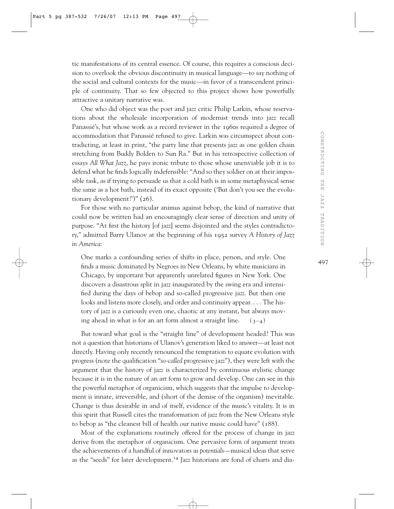tic manifestations of its central essence. Of course, this requires a conscious decision to overlook the obvious discontinuity in musical language—to say nothing of the social and cultural contexts for the music—in favor of a transcendent principle of continuity. That so few objected to this project shows how powerfully attractive a unitary narrative was.

One who did object was the poet and jazz critic Philip Larkin, whose reservations about the wholesale incorporation of modernist trends into jazz recall Panassié's, but whose work as a record reviewer in the 1960s required a degree of accommodation that Panassié refused to give. Larkin was circumspect about contradicting, at least in print, "the party line that presents jazz as one golden chain stretching from Buddy Bolden to Sun Ra." But in his retrospective collection of essays *All What Jazz*, he pays ironic tribute to those whose unenviable job it is to defend what he finds logically indefensible: "And so they soldier on at their impossible task, as if trying to persuade us that a cold bath is in some metaphysical sense the same as a hot bath, instead of its exact opposite ('But don't you see the evolutionary development?')" (26).

For those with no particular animus against bebop, the kind of narrative that could now be written had an encouragingly clear sense of direction and unity of purpose. "At first the history [of jazz] seems disjointed and the styles contradictory," admitted Barry Ulanov at the beginning of his 1952 survey *A History of Jazz in America*:

One marks a confounding series of shifts in place, person, and style. One finds a music dominated by Negroes in New Orleans, by white musicians in Chicago, by important but apparently unrelated figures in New York. One discovers a disastrous split in jazz inaugurated by the swing era and intensified during the days of bebop and so-called progressive jazz. But then one looks and listens more closely, and order and continuity appear. . . . The history of jazz is a curiously even one, chaotic at any instant, but always moving ahead in what is for an art form almost a straight line.  $(3-4)$ 

But toward what goal is the "straight line" of development headed? This was not a question that historians of Ulanov's generation liked to answer—at least not directly. Having only recently renounced the temptation to equate evolution with progress (note the qualification "*so-called* progressive jazz"), they were left with the argument that the history of jazz is characterized by continuous stylistic change because it is in the nature of an art form to grow and develop. One can see in this the powerful metaphor of organicism, which suggests that the impulse to development is innate, irreversible, and (short of the demise of the organism) inevitable. Change is thus desirable in and of itself, evidence of the music's vitality. It is in this spirit that Russell cites the transformation of jazz from the New Orleans style to bebop as "the cleanest bill of health our native music could have" (188).

Most of the explanations routinely offered for the process of change in jazz derive from the metaphor of organicism. One pervasive form of argument treats the achievements of a handful of innovators as *potentials*—musical ideas that serve as the "seeds" for later development.<sup>14</sup> Jazz historians are fond of charts and dia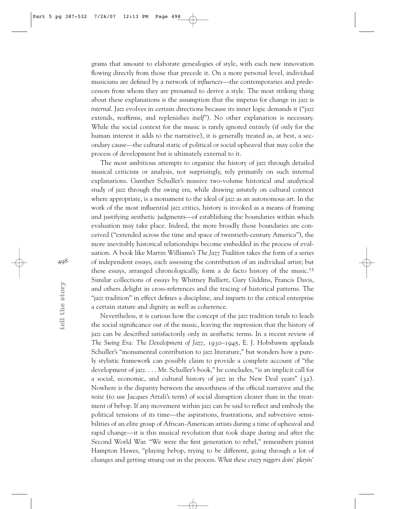grams that amount to elaborate genealogies of style, with each new innovation flowing directly from those that precede it. On a more personal level, individual musicians are defined by a network of *influences*—the contemporaries and predecessors from whom they are presumed to derive a style. The most striking thing about these explanations is the assumption that the impetus for change in jazz is *internal*. Jazz evolves in certain directions because its inner logic demands it ("jazz extends, reaffirms, and replenishes *itself*"). No other explanation is necessary. While the social context for the music is rarely ignored entirely (if only for the human interest it adds to the narrative), it is generally treated as, at best, a secondary cause—the cultural static of political or social upheaval that may color the process of development but is ultimately external to it.

The most ambitious attempts to organize the history of jazz through detailed musical criticism or analysis, not surprisingly, rely primarily on such internal explanations. Gunther Schuller's massive two-volume historical and analytical study of jazz through the swing era, while drawing astutely on cultural context where appropriate, is a monument to the ideal of jazz as an autonomous art. In the work of the most influential jazz critics, history is invoked as a means of framing and justifying aesthetic judgments—of establishing the boundaries within which evaluation may take place. Indeed, the more broadly those boundaries are conceived ("extended across the time and space of twentieth-century America"), the more inevitably historical relationships become embedded in the process of evaluation. A book like Martin Williams's *The Jazz Tradition* takes the form of a series of independent essays, each assessing the contribution of an individual artist; but these essays, arranged chronologically, form a de facto history of the music.<sup>15</sup> Similar collections of essays by Whitney Balliett, Gary Giddins, Francis Davis, and others delight in cross-references and the tracing of historical patterns. The "jazz tradition" in effect defines a discipline, and imparts to the critical enterprise a certain stature and dignity as well as coherence.

Nevertheless, it is curious how the concept of the jazz tradition tends to leach the social significance out of the music, leaving the impression that the history of jazz can be described satisfactorily only in aesthetic terms. In a recent review of *The Swing Era: The Development of Jazz, 1930–1945*, E. J. Hobsbawm applauds Schuller's "monumental contribution to jazz literature," but wonders how a purely stylistic framework can possibly claim to provide a complete account of "the development of jazz. . . . Mr. Schuller's book," he concludes, "is an implicit call for a social, economic, and cultural history of jazz in the New Deal years" (32). Nowhere is the disparity between the smoothness of the official narrative and the *noise* (to use Jacques Attali's term) of social disruption clearer than in the treatment of bebop. If any movement within jazz can be said to reflect and embody the political tensions of its time—the aspirations, frustrations, and subversive sensibilities of an elite group of African-American artists during a time of upheaval and rapid change—it is this musical revolution that took shape during and after the Second World War. "We were the first generation to rebel," remembers pianist Hampton Hawes, "playing bebop, trying to be different, going through a lot of changes and getting strung out in the process. *What these crazy niggers doin' playin'*

tell the story **tell the story**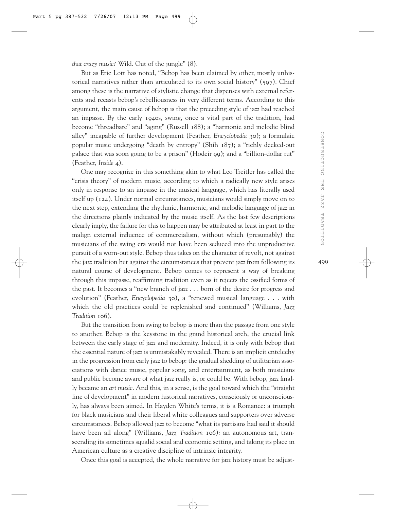*that crazy music?* Wild. Out of the jungle" (8).

But as Eric Lott has noted, "Bebop has been claimed by other, mostly unhistorical narratives rather than articulated to its own social history" (597). Chief among these is the narrative of stylistic change that dispenses with external referents and recasts bebop's rebelliousness in very different terms. According to this argument, the main cause of bebop is that the preceding style of jazz had reached an impasse. By the early 1940s, swing, once a vital part of the tradition, had become "threadbare" and "aging" (Russell 188); a "harmonic and melodic blind alley" incapable of further development (Feather, *Encyclopedia* 30); a formulaic popular music undergoing "death by entropy" (Shih 187); a "richly decked-out palace that was soon going to be a prison" (Hodeir 99); and a "billion-dollar rut" (Feather, *Inside* 4).

One may recognize in this something akin to what Leo Treitler has called the "crisis theory" of modern music, according to which a radically new style arises only in response to an impasse in the musical language, which has literally used itself up (124). Under normal circumstances, musicians would simply move on to the next step, extending the rhythmic, harmonic, and melodic language of jazz in the directions plainly indicated by the music itself. As the last few descriptions clearly imply, the failure for this to happen may be attributed at least in part to the malign external influence of commercialism, without which (presumably) the musicians of the swing era would not have been seduced into the unproductive pursuit of a worn-out style. Bebop thus takes on the character of revolt, not against the jazz tradition but against the circumstances that prevent jazz from following its natural course of development. Bebop comes to represent a way of breaking through this impasse, reaffirming tradition even as it rejects the ossified forms of the past. It becomes a "new branch of jazz . . . born of the desire for progress and evolution" (Feather, *Encyclopedia* 30), a "renewed musical language . . . with which the old practices could be replenished and continued" (Williams, *Jazz Tradition* 106).

But the transition from swing to bebop is more than the passage from one style to another. Bebop is the keystone in the grand historical arch, the crucial link between the early stage of jazz and modernity. Indeed, it is only with bebop that the essential nature of jazz is unmistakably revealed. There is an implicit entelechy in the progression from early jazz to bebop: the gradual shedding of utilitarian associations with dance music, popular song, and entertainment, as both musicians and public become aware of what jazz really is, or could be. With bebop, jazz finally became an *art music*. And this, in a sense, is the goal toward which the "straight line of development" in modern historical narratives, consciously or unconsciously, has always been aimed. In Hayden White's terms, it is a Romance: a triumph for black musicians and their liberal white colleagues and supporters over adverse circumstances. Bebop allowed jazz to become "what its partisans had said it should have been all along" (Williams, *Jazz Tradition* 106): an autonomous art, transcending its sometimes squalid social and economic setting, and taking its place in American culture as a creative discipline of intrinsic integrity.

Once this goal is accepted, the whole narrative for jazz history must be adjust-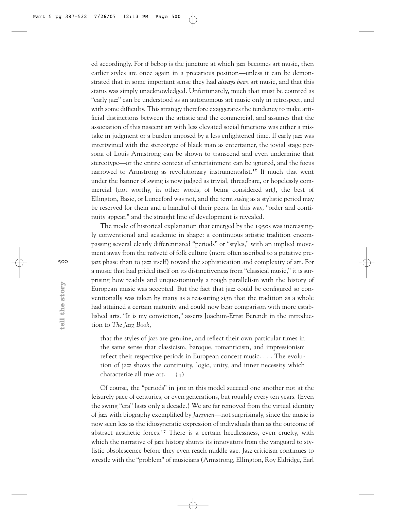ed accordingly. For if bebop is the juncture at which jazz becomes art music, then earlier styles are once again in a precarious position—unless it can be demonstrated that in some important sense they had *always been* art music, and that this status was simply unacknowledged. Unfortunately, much that must be counted as "early jazz" can be understood as an autonomous art music only in retrospect, and with some difficulty. This strategy therefore exaggerates the tendency to make artificial distinctions between the artistic and the commercial, and assumes that the association of this nascent art with less elevated social functions was either a mistake in judgment or a burden imposed by a less enlightened time. If early jazz was intertwined with the stereotype of black man as entertainer, the jovial stage persona of Louis Armstrong can be shown to transcend and even undermine that stereotype—or the entire context of entertainment can be ignored, and the focus narrowed to Armstrong as revolutionary instrumentalist.<sup>16</sup> If much that went under the banner of swing is now judged as trivial, threadbare, or hopelessly commercial (not worthy, in other words, of being considered art), the best of Ellington, Basie, or Lunceford was not, and the term *swing* as a stylistic period may be reserved for them and a handful of their peers. In this way, "order and continuity appear," and the straight line of development is revealed.

The mode of historical explanation that emerged by the 1950s was increasingly conventional and academic in shape: a continuous artistic tradition encompassing several clearly differentiated "periods" or "styles," with an implied movement away from the naïveté of folk culture (more often ascribed to a putative prejazz phase than to jazz itself) toward the sophistication and complexity of art. For a music that had prided itself on its distinctiveness from "classical music," it is surprising how readily and unquestioningly a rough parallelism with the history of European music was accepted. But the fact that jazz could be configured so conventionally was taken by many as a reassuring sign that the tradition as a whole had attained a certain maturity and could now bear comparison with more established arts. "It is my conviction," asserts Joachim-Ernst Berendt in the introduction to *The Jazz Book*,

that the styles of jazz are genuine, and reflect their own particular times in the same sense that classicism, baroque, romanticism, and impressionism reflect their respective periods in European concert music. . . . The evolution of jazz shows the continuity, logic, unity, and inner necessity which characterize all true art. (4)

Of course, the "periods" in jazz in this model succeed one another not at the leisurely pace of centuries, or even generations, but roughly every ten years. (Even the swing "era" lasts only a decade.) We are far removed from the virtual identity of jazz with biography exemplified by *Jazzmen*—not surprisingly, since the music is now seen less as the idiosyncratic expression of individuals than as the outcome of abstract aesthetic forces.<sup>17</sup> There is a certain heedlessness, even cruelty, with which the narrative of jazz history shunts its innovators from the vanguard to stylistic obsolescence before they even reach middle age. Jazz criticism continues to wrestle with the "problem" of musicians (Armstrong, Ellington, Roy Eldridge, Earl

tell the story **tell the story**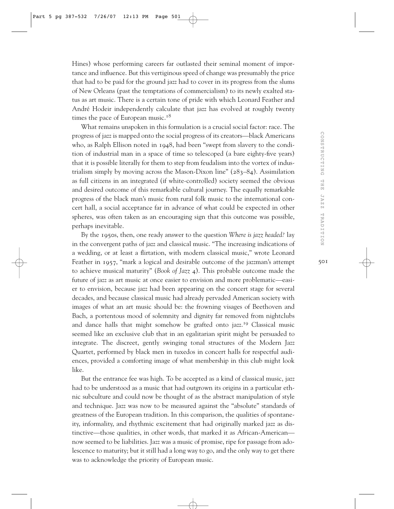Hines) whose performing careers far outlasted their seminal moment of importance and influence. But this vertiginous speed of change was presumably the price that had to be paid for the ground jazz had to cover in its progress from the slums of New Orleans (past the temptations of commercialism) to its newly exalted status as art music. There is a certain tone of pride with which Leonard Feather and André Hodeir independently calculate that jazz has evolved at roughly twenty times the pace of European music.<sup>18</sup>

What remains unspoken in this formulation is a crucial social factor: race. The progress of jazz is mapped onto the social progress of its creators—black Americans who, as Ralph Ellison noted in 1948, had been "swept from slavery to the condition of industrial man in a space of time so telescoped (a bare eighty-five years) that it is possible literally for them to step from feudalism into the vortex of industrialism simply by moving across the Mason-Dixon line" (283–84). Assimilation as full citizens in an integrated (if white-controlled) society seemed the obvious and desired outcome of this remarkable cultural journey. The equally remarkable progress of the black man's music from rural folk music to the international concert hall, a social acceptance far in advance of what could be expected in other spheres, was often taken as an encouraging sign that this outcome was possible, perhaps inevitable.

By the 1950s, then, one ready answer to the question *Where is jazz headed?* lay in the convergent paths of jazz and classical music. "The increasing indications of a wedding, or at least a flirtation, with modern classical music," wrote Leonard Feather in 1957, "mark a logical and desirable outcome of the jazzman's attempt to achieve musical maturity" (*Book of Jazz* 4). This probable outcome made the future of jazz as art music at once easier to envision and more problematic—easier to envision, because jazz had been appearing on the concert stage for several decades, and because classical music had already pervaded American society with images of what an art music should be: the frowning visages of Beethoven and Bach, a portentous mood of solemnity and dignity far removed from nightclubs and dance halls that might somehow be grafted onto jazz.<sup>19</sup> Classical music seemed like an exclusive club that in an egalitarian spirit might be persuaded to integrate. The discreet, gently swinging tonal structures of the Modern Jazz Quartet, performed by black men in tuxedos in concert halls for respectful audiences, provided a comforting image of what membership in this club might look like.

But the entrance fee was high. To be accepted as a kind of classical music, jazz had to be understood as a music that had outgrown its origins in a particular ethnic subculture and could now be thought of as the abstract manipulation of style and technique. Jazz was now to be measured against the "absolute" standards of greatness of the European tradition. In this comparison, the qualities of spontaneity, informality, and rhythmic excitement that had originally marked jazz as distinctive—those qualities, in other words, that marked it as African-American now seemed to be liabilities. Jazz was a music of promise, ripe for passage from adolescence to maturity; but it still had a long way to go, and the only way to get there was to acknowledge the priority of European music.

 $501$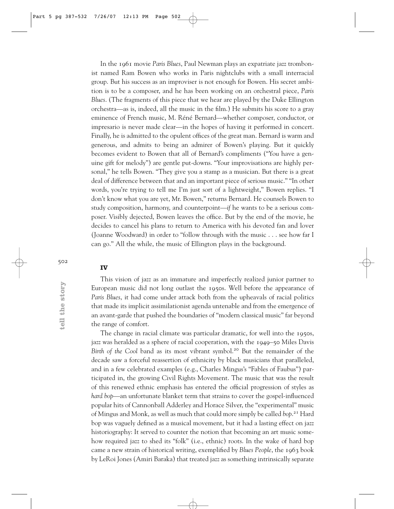In the 1961 movie *Paris Blues*, Paul Newman plays an expatriate jazz trombonist named Ram Bowen who works in Paris nightclubs with a small interracial group. But his success as an improviser is not enough for Bowen. His secret ambition is to be a composer, and he has been working on an orchestral piece, *Paris Blues*. (The fragments of this piece that we hear are played by the Duke Ellington orchestra—as is, indeed, all the music in the film.) He submits his score to a gray eminence of French music, M. Réné Bernard—whether composer, conductor, or impresario is never made clear—in the hopes of having it performed in concert. Finally, he is admitted to the opulent offices of the great man. Bernard is warm and generous, and admits to being an admirer of Bowen's playing. But it quickly becomes evident to Bowen that all of Bernard's compliments ("You have a genuine gift for melody") are gentle put-downs. "Your improvisations are highly personal," he tells Bowen. "They give you a stamp as a musician. But there is a great deal of difference between that and an important piece of serious music." "In other words, you're trying to tell me I'm just sort of a lightweight," Bowen replies. "I don't know what you are yet, Mr. Bowen," returns Bernard. He counsels Bowen to study composition, harmony, and counterpoint—*if* he wants to be a serious composer. Visibly dejected, Bowen leaves the office. But by the end of the movie, he decides to cancel his plans to return to America with his devoted fan and lover (Joanne Woodward) in order to "follow through with the music . . . see how far I can go." All the while, the music of Ellington plays in the background.

#### **IV**

This vision of jazz as an immature and imperfectly realized junior partner to European music did not long outlast the 1950s. Well before the appearance of *Paris Blues*, it had come under attack both from the upheavals of racial politics that made its implicit assimilationist agenda untenable and from the emergence of an avant-garde that pushed the boundaries of "modern classical music" far beyond the range of comfort.

The change in racial climate was particular dramatic, for well into the 1950s, jazz was heralded as a sphere of racial cooperation, with the 1949–50 Miles Davis *Birth of the Cool band as its most vibrant symbol.<sup>20</sup> But the remainder of the* decade saw a forceful reassertion of ethnicity by black musicians that paralleled, and in a few celebrated examples (e.g., Charles Mingus's "Fables of Faubus") participated in, the growing Civil Rights Movement. The music that was the result of this renewed ethnic emphasis has entered the official progression of styles as *hard bop*—an unfortunate blanket term that strains to cover the gospel-influenced popular hits of Cannonball Adderley and Horace Silver, the "experimental" music of Mingus and Monk, as well as much that could more simply be called *bop*. <sup>21</sup> Hard bop was vaguely defined as a musical movement, but it had a lasting effect on jazz historiography: It served to counter the notion that becoming an art music somehow required jazz to shed its "folk" (i.e., ethnic) roots. In the wake of hard bop came a new strain of historical writing, exemplified by *Blues People*, the 1963 book by LeRoi Jones (Amiri Baraka) that treated jazz as something intrinsically separate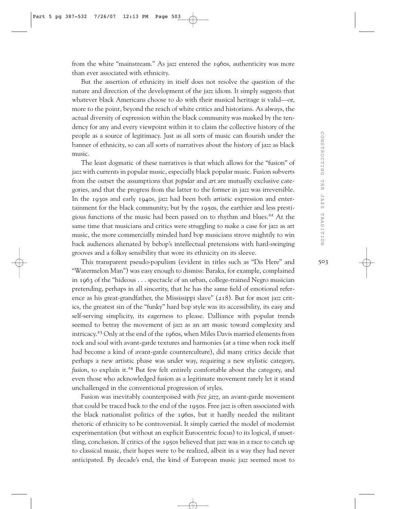from the white "mainstream." As jazz entered the 1960s, authenticity was more than ever associated with ethnicity.

But the assertion of ethnicity in itself does not resolve the question of the nature and direction of the development of the jazz idiom. It simply suggests that whatever black Americans choose to do with their musical heritage is valid—or, more to the point, beyond the reach of white critics and historians. As always, the actual diversity of expression within the black community was masked by the tendency for any and every viewpoint within it to claim the collective history of the people as a source of legitimacy. Just as all sorts of music can flourish under the banner of ethnicity, so can all sorts of narratives about the history of jazz as black music.

The least dogmatic of these narratives is that which allows for the "fusion" of jazz with currents in popular music, especially black popular music. Fusion subverts from the outset the assumptions that *popular* and *art* are mutually exclusive categories, and that the progress from the latter to the former in jazz was irreversible. In the 1930s and early 1940s, jazz had been both artistic expression and entertainment for the black community; but by the 1950s, the earthier and less prestigious functions of the music had been passed on to rhythm and blues.<sup>22</sup> At the same time that musicians and critics were struggling to make a case for jazz as art music, the more commercially minded hard bop musicians strove mightily to win back audiences alienated by bebop's intellectual pretensions with hard-swinging grooves and a folksy sensibility that wore its ethnicity on its sleeve.

This transparent pseudo-populism (evident in titles such as "Dis Here" and "Watermelon Man") was easy enough to dismiss: Baraka, for example, complained in 1963 of the "hideous . . . spectacle of an urban, college-trained Negro musician pretending, perhaps in all sincerity, that he has the same field of emotional reference as his great-grandfather, the Mississippi slave" (218). But for most jazz critics, the greatest sin of the "funky" hard bop style was its accessibility, its easy and self-serving simplicity, its eagerness to please. Dalliance with popular trends seemed to betray the movement of jazz as an art music toward complexity and intricacy.<sup>23</sup> Only at the end of the 1960s, when Miles Davis married elements from rock and soul with avant-garde textures and harmonies (at a time when rock itself had become a kind of avant-garde counterculture), did many critics decide that perhaps a new artistic phase was under way, requiring a new stylistic category, *fusion*, to explain it.<sup>24</sup> But few felt entirely comfortable about the category, and even those who acknowledged fusion as a legitimate movement rarely let it stand unchallenged in the conventional progression of styles.

Fusion was inevitably counterpoised with *free jazz*, an avant-garde movement that could be traced back to the end of the 1950s. Free jazz is often associated with the black nationalist politics of the 1960s, but it hardly needed the militant rhetoric of ethnicity to be controversial. It simply carried the model of modernist experimentation (but without an explicit Eurocentric focus) to its logical, if unsettling, conclusion. If critics of the 1950s believed that jazz was in a race to catch up to classical music, their hopes were to be realized, albeit in a way they had never anticipated. By decade's end, the kind of European music jazz seemed most to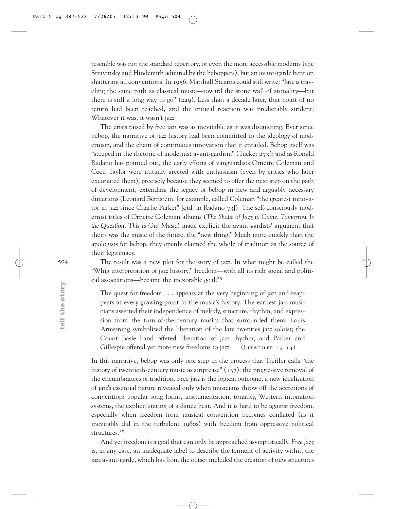resemble was not the standard repertory, or even the more accessible moderns (the Stravinsky and Hindemith admired by the beboppers), but an avant-garde bent on shattering all conventions. In 1956, Marshall Stearns could still write: "Jazz is traveling the same path as classical music—toward the stone wall of atonality—but there is still a long way to go" (229). Less than a decade later, that point of no return had been reached, and the critical reaction was predictably strident: Whatever it was, it wasn't jazz.

The crisis raised by free jazz was as inevitable as it was disquieting. Ever since bebop, the narrative of jazz history had been committed to the ideology of modernism, and the chain of continuous innovation that it entailed. Bebop itself was "steeped in the rhetoric of modernist avant-gardism" (Tucker 273); and as Ronald Radano has pointed out, the early efforts of vanguardists Ornette Coleman and Cecil Taylor were initially greeted with enthusiasm (even by critics who later excoriated them), precisely because they seemed to offer the next step on the path of development, extending the legacy of bebop in new and arguably necessary directions (Leonard Bernstein, for example, called Coleman "the greatest innovator in jazz since Charlie Parker" [qtd. in Radano 73]). The self-consciously modernist titles of Ornette Coleman albums (*The Shape of Jazz to Come*, *Tomorrow Is the Question*, *This Is Our Music*) made explicit the avant-gardists' argument that theirs was the music of the future, the "new thing." Much more quickly than the apologists for bebop, they openly claimed the whole of tradition as the source of their legitimacy.

The result was a new plot for the story of jazz. In what might be called the "Whig interpretation of jazz history," freedom—with all its rich social and political associations—became the inexorable goal:<sup>25</sup>

The quest for freedom  $\dots$  appears at the very beginning of jazz and reappears at every growing point in the music's history. The earliest jazz musicians asserted their independence of melody, structure, rhythm, and expression from the turn-of-the-century musics that surrounded them; Louis Armstrong symbolized the liberation of the late twenties jazz soloist; the Count Basie band offered liberation of jazz rhythm; and Parker and Gillespie offered yet more new freedoms to jazz.  $(LITWEILER I3-I4)$ 

In this narrative, bebop was only one step in the process that Treitler calls "the history of twentieth-century music as striptease" (137): the progressive removal of the encumbrances of tradition. Free jazz is the logical outcome, a new idealization of jazz's essential nature revealed only when musicians throw off the accretions of convention: popular song forms, instrumentation, tonality, Western intonation systems, the explicit stating of a dance beat. And it is hard to be against freedom, especially when freedom from musical convention becomes conflated (as it inevitably did in the turbulent 1960s) with freedom from oppressive political structures.<sup>26</sup>

And yet freedom is a goal that can only be approached asymptotically. *Free jazz* is, in any case, an inadequate label to describe the ferment of activity within the jazz avant-garde, which has from the outset included the creation of new structures

504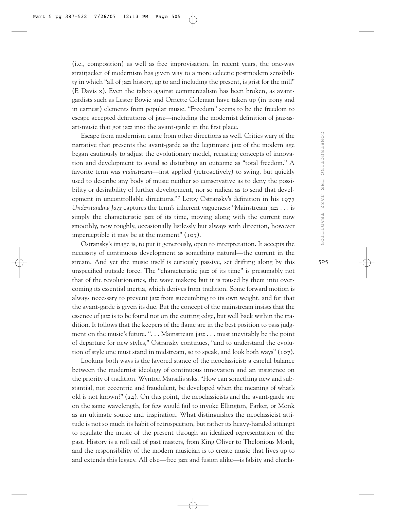(i.e., composition) as well as free improvisation. In recent years, the one-way straitjacket of modernism has given way to a more eclectic postmodern sensibility in which "all of jazz history, up to and including the present, is grist for the mill" (F. Davis x). Even the taboo against commercialism has been broken, as avantgardists such as Lester Bowie and Ornette Coleman have taken up (in irony and in earnest) elements from popular music. "Freedom" seems to be the freedom to escape accepted definitions of jazz—including the modernist definition of jazz-asart-music that got jazz into the avant-garde in the first place.

Escape from modernism came from other directions as well. Critics wary of the narrative that presents the avant-garde as the legitimate jazz of the modern age began cautiously to adjust the evolutionary model, recasting concepts of innovation and development to avoid so disturbing an outcome as "total freedom." A favorite term was *mainstream*—first applied (retroactively) to swing, but quickly used to describe any body of music neither so conservative as to deny the possibility or desirability of further development, nor so radical as to send that development in uncontrollable directions.<sup>27</sup> Leroy Ostransky's definition in his 1977 *Understanding Jazz* captures the term's inherent vagueness: "Mainstream jazz . . . is simply the characteristic jazz of its time, moving along with the current now smoothly, now roughly, occasionally listlessly but always with direction, however imperceptible it may be at the moment" (107).

Ostransky's image is, to put it generously, open to interpretation. It accepts the necessity of continuous development as something natural—the current in the stream. And yet the music itself is curiously passive, set drifting along by this unspecified outside force. The "characteristic jazz of its time" is presumably not that of the revolutionaries, the wave makers; but it is roused by them into overcoming its essential inertia, which derives from tradition. Some forward motion is always necessary to prevent jazz from succumbing to its own weight, and for that the avant-garde is given its due. But the concept of the mainstream insists that the essence of jazz is to be found not on the cutting edge, but well back within the tradition. It follows that the keepers of the flame are in the best position to pass judgment on the music's future. ". . . Mainstream jazz . . . must inevitably be the point of departure for new styles," Ostransky continues, "and to understand the evolution of style one must stand in midstream, so to speak, and look both ways" (107).

Looking both ways is the favored stance of the neoclassicist: a careful balance between the modernist ideology of continuous innovation and an insistence on the priority of tradition. Wynton Marsalis asks, "How can something new and substantial, not eccentric and fraudulent, be developed when the meaning of what's old is not known?" (24). On this point, the neoclassicists and the avant-garde are on the same wavelength, for few would fail to invoke Ellington, Parker, or Monk as an ultimate source and inspiration. What distinguishes the neoclassicist attitude is not so much its habit of retrospection, but rather its heavy-handed attempt to regulate the music of the present through an idealized representation of the past. History is a roll call of past masters, from King Oliver to Thelonious Monk, and the responsibility of the modern musician is to create music that lives up to and extends this legacy. All else—free jazz and fusion alike—is falsity and charla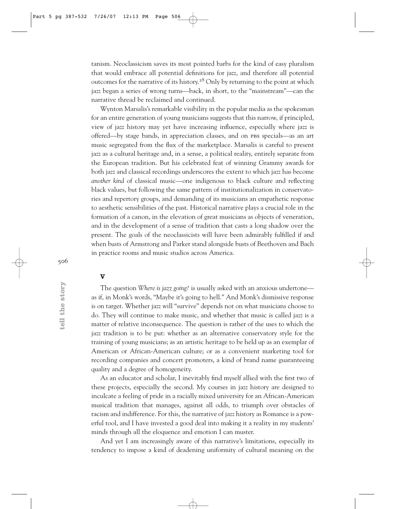tanism. Neoclassicism saves its most pointed barbs for the kind of easy pluralism that would embrace all potential definitions for jazz, and therefore all potential outcomes for the narrative of its history.<sup>28</sup> Only by returning to the point at which jazz began a series of wrong turns—back, in short, to the "mainstream"—can the narrative thread be reclaimed and continued.

Wynton Marsalis's remarkable visibility in the popular media as the spokesman for an entire generation of young musicians suggests that this narrow, if principled, view of jazz history may yet have increasing influence, especially where jazz is offered—by stage bands, in appreciation classes, and on pps specials—as an art music segregated from the flux of the marketplace. Marsalis is careful to present jazz as a cultural heritage and, in a sense, a political reality, entirely separate from the European tradition. But his celebrated feat of winning Grammy awards for both jazz and classical recordings underscores the extent to which jazz has become *another kind* of classical music—one indigenous to black culture and reflecting black values, but following the same pattern of institutionalization in conservatories and repertory groups, and demanding of its musicians an empathetic response to aesthetic sensibilities of the past. Historical narrative plays a crucial role in the formation of a canon, in the elevation of great musicians as objects of veneration, and in the development of a sense of tradition that casts a long shadow over the present. The goals of the neoclassicists will have been admirably fulfilled if and when busts of Armstrong and Parker stand alongside busts of Beethoven and Bach in practice rooms and music studios across America.

506

**V**

The question *Where is jazz going?* is usually asked with an anxious undertone as if, in Monk's words, "Maybe it's going to hell." And Monk's dismissive response is on target. Whether jazz will "survive" depends not on what musicians choose to do. They will continue to make music, and whether that music is called jazz is a matter of relative inconsequence. The question is rather of the uses to which the jazz tradition is to be put: whether as an alternative conservatory style for the training of young musicians; as an artistic heritage to be held up as an exemplar of American or African-American culture; or as a convenient marketing tool for recording companies and concert promoters, a kind of brand name guaranteeing quality and a degree of homogeneity.

As an educator and scholar, I inevitably find myself allied with the first two of these projects, especially the second. My courses in jazz history are designed to inculcate a feeling of pride in a racially mixed university for an African-American musical tradition that manages, against all odds, to triumph over obstacles of racism and indifference. For this, the narrative of jazz history as Romance is a powerful tool, and I have invested a good deal into making it a reality in my students' minds through all the eloquence and emotion I can muster.

And yet I am increasingly aware of this narrative's limitations, especially its tendency to impose a kind of deadening uniformity of cultural meaning on the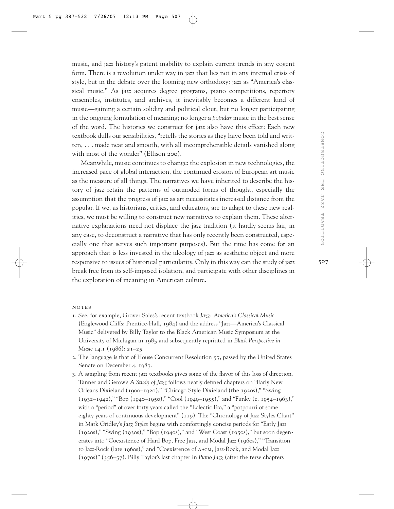music, and jazz history's patent inability to explain current trends in any cogent form. There is a revolution under way in jazz that lies not in any internal crisis of style, but in the debate over the looming new orthodoxy: jazz as "America's classical music." As jazz acquires degree programs, piano competitions, repertory ensembles, institutes, and archives, it inevitably becomes a different kind of music—gaining a certain solidity and political clout, but no longer participating in the ongoing formulation of meaning; no longer a *popular* music in the best sense of the word. The histories we construct for jazz also have this effect: Each new textbook dulls our sensibilities, "retells the stories as they have been told and written, . . . made neat and smooth, with all incomprehensible details vanished along with most of the wonder" (Ellison 200).

Meanwhile, music continues to change: the explosion in new technologies, the increased pace of global interaction, the continued erosion of European art music as the measure of all things. The narratives we have inherited to describe the history of jazz retain the patterns of outmoded forms of thought, especially the assumption that the progress of jazz as art necessitates increased distance from the popular. If we, as historians, critics, and educators, are to adapt to these new realities, we must be willing to construct new narratives to explain them. These alternative explanations need not displace the jazz tradition (it hardly seems fair, in any case, to deconstruct a narrative that has only recently been constructed, especially one that serves such important purposes). But the time has come for an approach that is less invested in the ideology of jazz as aesthetic object and more responsive to issues of historical particularity. Only in this way can the study of jazz break free from its self-imposed isolation, and participate with other disciplines in the exploration of meaning in American culture.

#### **NOTES**

- 1. See, for example, Grover Sales's recent textbook *Jazz: America's Classical Music* (Englewood Cliffs: Prentice-Hall, 1984) and the address "Jazz—America's Classical Music" delivered by Billy Taylor to the Black American Music Symposium at the University of Michigan in 1985 and subsequently reprinted in *Black Perspective in Music* 14.1 (1986): 21–25.
- 2. The language is that of House Concurrent Resolution 57, passed by the United States Senate on December 4, 1987.
- 3. A sampling from recent jazz textbooks gives some of the flavor of this loss of direction. Tanner and Gerow's *A Study of Jazz* follows neatly defined chapters on "Early New Orleans Dixieland (1900–1920)," "Chicago Style Dixieland (the 1920s)," "Swing (1932–1942)," "Bop (1940–1950)," "Cool (1949–1955)," and "Funky (c. 1954–1963)," with a "period" of over forty years called the "Eclectic Era," a "potpourri of some eighty years of continuous development" (119). The "Chronology of Jazz Styles Chart" in Mark Gridley's *Jazz Styles* begins with comfortingly concise periods for "Early Jazz (1920s)," "Swing (1930s)," "Bop (1940s)," and "West Coast (1950s)," but soon degenerates into "Coexistence of Hard Bop, Free Jazz, and Modal Jazz (1960s)," "Transition to Jazz-Rock (late 1960s)," and "Coexistence of aacm, Jazz-Rock, and Modal Jazz (1970s)" (356–57). Billy Taylor's last chapter in *Piano Jazz* (after the terse chapters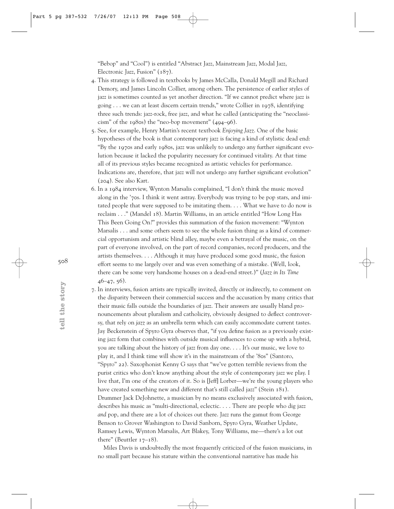"Bebop" and "Cool") is entitled "Abstract Jazz, Mainstream Jazz, Modal Jazz, Electronic Jazz, Fusion" (187).

- 4. This strategy is followed in textbooks by James McCalla, Donald Megill and Richard Demory, and James Lincoln Collier, among others. The persistence of earlier styles of jazz is sometimes counted as yet another direction. "If we cannot predict where jazz is going . . . we can at least discern certain trends," wrote Collier in 1978, identifying three such trends: jazz-rock, free jazz, and what he called (anticipating the "neoclassicism" of the 1980s) the "neo-bop movement" (494–96).
- 5. See, for example, Henry Martin's recent textbook *Enjoying Jazz*. One of the basic hypotheses of the book is that contemporary jazz is facing a kind of stylistic dead end: "By the 1970s and early 1980s, jazz was unlikely to undergo any further significant evolution because it lacked the popularity necessary for continued vitality. At that time all of its previous styles became recognized as artistic vehicles for performance. Indications are, therefore, that jazz will not undergo any further significant evolution" (204). See also Kart.
- 6. In a 1984 interview, Wynton Marsalis complained, "I don't think the music moved along in the '70s. I think it went astray. Everybody was trying to be pop stars, and imitated people that were supposed to be imitating them. . . . What we have to do now is reclaim . . ." (Mandel 18). Martin Williams, in an article entitled "How Long Has This Been Going On?" provides this summation of the fusion movement: "Wynton Marsalis . . . and some others seem to see the whole fusion thing as a kind of commercial opportunism and artistic blind alley, maybe even a betrayal of the music, on the part of everyone involved, on the part of record companies, record producers, and the artists themselves. . . . Although it may have produced some good music, the fusion effort seems to me largely over and was even something of a mistake. (Well, look, there can be some very handsome houses on a dead-end street.)" (*Jazz in Its Time*  $46 - 47, 56$ .
- 7. In interviews, fusion artists are typically invited, directly or indirectly, to comment on the disparity between their commercial success and the accusation by many critics that their music falls outside the boundaries of jazz. Their answers are usually bland pronouncements about pluralism and catholicity, obviously designed to deflect controversy, that rely on *jazz* as an umbrella term which can easily accommodate current tastes. Jay Beckenstein of Spyro Gyra observes that, "if you define fusion as a previously existing jazz form that combines with outside musical influences to come up with a hybrid, you are talking about the history of jazz from day one. . . . It's our music, we love to play it, and I think time will show it's in the mainstream of the '80s" (Santoro, "Spyro" 22). Saxophonist Kenny G says that "we've gotten terrible reviews from the purist critics who don't know anything about the style of contemporary jazz we play. I live that, I'm one of the creators of it. So is [Jeff] Lorber—we're the young players who have created something new and different that's still called jazz" (Stein 181). Drummer Jack DeJohnette, a musician by no means exclusively associated with fusion, describes his music as "multi-directional, eclectic. . . . There are people who dig jazz *and* pop, and there are a lot of choices out there. Jazz runs the gamut from George Benson to Grover Washington to David Sanborn, Spyro Gyra, Weather Update, Ramsey Lewis, Wynton Marsalis, Art Blakey, Tony Williams, me—there's a lot out there" (Beuttler 17–18).

Miles Davis is undoubtedly the most frequently criticized of the fusion musicians, in no small part because his stature within the conventional narrative has made his

tell the story **tell the story**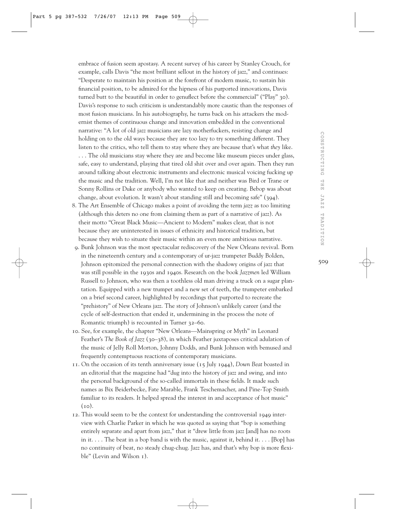embrace of fusion seem apostasy. A recent survey of his career by Stanley Crouch, for example, calls Davis "the most brilliant sellout in the history of jazz," and continues: "Desperate to maintain his position at the forefront of modern music, to sustain his financial position, to be admired for the hipness of his purported innovations, Davis turned butt to the beautiful in order to genuflect before the commercial" ("Play" 30). Davis's response to such criticism is understandably more caustic than the responses of most fusion musicians. In his autobiography, he turns back on his attackers the modernist themes of continuous change and innovation embedded in the conventional narrative: "A lot of old jazz musicians are lazy motherfuckers, resisting change and holding on to the old ways because they are too lazy to try something different. They listen to the critics, who tell them to stay where they are because that's what *they* like. . . . The old musicians stay where they are and become like museum pieces under glass, safe, easy to understand, playing that tired old shit over and over again. Then they run around talking about electronic instruments and electronic musical voicing fucking up the music and the tradition. Well, I'm not like that and neither was Bird or Trane or Sonny Rollins or Duke or anybody who wanted to keep on creating. Bebop was about change, about evolution. It wasn't about standing still and becoming safe" (394).

- 8. The Art Ensemble of Chicago makes a point of avoiding the term *jazz* as too limiting (although this deters no one from claiming them as part of a narrative of jazz). As their motto "Great Black Music—Ancient to Modern" makes clear, that is not because they are uninterested in issues of ethnicity and historical tradition, but because they wish to situate their music within an even more ambitious narrative.
- 9. Bunk Johnson was the most spectacular rediscovery of the New Orleans revival. Born in the nineteenth century and a contemporary of ur-jazz trumpeter Buddy Bolden, Johnson epitomized the personal connection with the shadowy origins of jazz that was still possible in the 1930s and 1940s. Research on the book *Jazzmen* led William Russell to Johnson, who was then a toothless old man driving a truck on a sugar plantation. Equipped with a new trumpet and a new set of teeth, the trumpeter embarked on a brief second career, highlighted by recordings that purported to recreate the "prehistory" of New Orleans jazz. The story of Johnson's unlikely career (and the cycle of self-destruction that ended it, undermining in the process the note of Romantic triumph) is recounted in Turner 32–60.
- 10. See, for example, the chapter "New Orleans—Mainspring or Myth" in Leonard Feather's *The Book of Jazz* (30–38), in which Feather juxtaposes critical adulation of the music of Jelly Roll Morton, Johnny Dodds, and Bunk Johnson with bemused and frequently contemptuous reactions of contemporary musicians.
- 11. On the occasion of its tenth anniversary issue (15 July 1944), *Down Beat* boasted in an editorial that the magazine had "dug into the history of jazz and swing, and into the personal background of the so-called immortals in these fields. It made such names as Bix Beiderbecke, Fate Marable, Frank Teschemacher, and Pine-Top Smith familiar to its readers. It helped spread the interest in and acceptance of hot music"  $(10)$ .
- 12. This would seem to be the context for understanding the controversial 1949 interview with Charlie Parker in which he was quoted as saying that "bop is something entirely separate and apart from jazz," that it "drew little from jazz [and] has no roots in it. . . . The beat in a bop band is with the music, against it, behind it. . . . [Bop] has no continuity of beat, no steady chug-chug. Jazz has, and that's why bop is more flexible" (Levin and Wilson 1).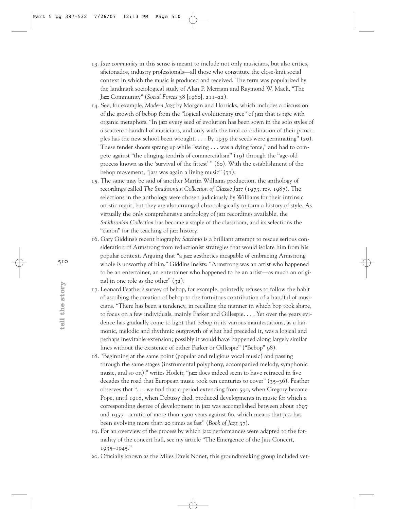- 13. *Jazz community* in this sense is meant to include not only musicians, but also critics, aficionados, industry professionals—all those who constitute the close-knit social context in which the music is produced and received. The term was popularized by the landmark sociological study of Alan P. Merriam and Raymond W. Mack, "The Jazz Community" (*Social Forces* 38 [1960], 211–22).
- 14. See, for example, *Modern Jazz* by Morgan and Horricks, which includes a discussion of the growth of bebop from the "logical evolutionary tree" of jazz that is ripe with organic metaphors. "In jazz every seed of evolution has been sown in the solo styles of a scattered handful of musicians, and only with the final co-ordination of their principles has the new school been wrought.  $\ldots$  By 1939 the seeds were germinating" (20). These tender shoots sprang up while "swing . . . was a dying force," and had to compete against "the clinging tendrils of commercialism" (19) through the "age-old process known as the 'survival of the fittest' " (60). With the establishment of the bebop movement, "jazz was again a living music" (71).
- 15. The same may be said of another Martin Williams production, the anthology of recordings called *The Smithsonian Collection of Classic Jazz* (1973, rev. 1987). The selections in the anthology were chosen judiciously by Williams for their intrinsic artistic merit, but they are also arranged chronologically to form a history of style. As virtually the only comprehensive anthology of jazz recordings available, the *Smithsonian Collection* has become a staple of the classroom, and its selections the "canon" for the teaching of jazz history.
- 16. Gary Giddins's recent biography *Satchmo* is a brilliant attempt to rescue serious consideration of Armstrong from reductionist strategies that would isolate him from his popular context. Arguing that "a jazz aesthetics incapable of embracing Armstrong whole is unworthy of him," Giddins insists: "Armstrong was an artist who happened to be an entertainer, an entertainer who happened to be an artist—as much an original in one role as the other" (32).
- 17. Leonard Feather's survey of bebop, for example, pointedly refuses to follow the habit of ascribing the creation of bebop to the fortuitous contribution of a handful of musicians. "There has been a tendency, in recalling the manner in which bop took shape, to focus on a few individuals, mainly Parker and Gillespie. . . . Yet over the years evidence has gradually come to light that bebop in its various manifestations, as a harmonic, melodic and rhythmic outgrowth of what had preceded it, was a logical and perhaps inevitable extension; possibly it would have happened along largely similar lines without the existence of either Parker or Gillespie" ("Bebop" 98).
- 18. "Beginning at the same point (popular and religious vocal music) and passing through the same stages (instrumental polyphony, accompanied melody, symphonic music, and so on)," writes Hodeir, "jazz does indeed seem to have retraced in five decades the road that European music took ten centuries to cover" (35–36). Feather observes that ". . . we find that a period extending from 590, when Gregory became Pope, until 1918, when Debussy died, produced developments in music for which a corresponding degree of development in jazz was accomplished between about 1897 and 1957—a ratio of more than 1300 years against 60, which means that jazz has been evolving more than 20 times as fast" (*Book of Jazz* 37).
- 19. For an overview of the process by which jazz performances were adapted to the formality of the concert hall, see my article "The Emergence of the Jazz Concert, 1935–1945."
- 20. Officially known as the Miles Davis Nonet, this groundbreaking group included vet-

tell the story **tell the story**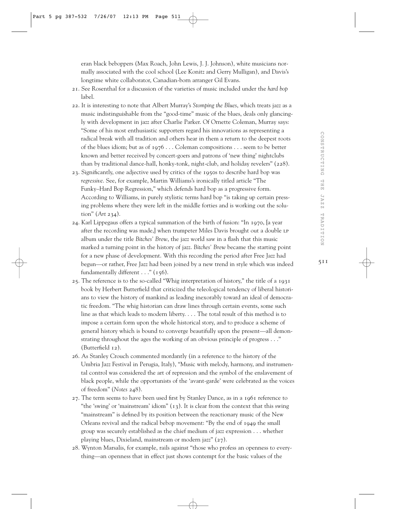eran black beboppers (Max Roach, John Lewis, J. J. Johnson), white musicians normally associated with the cool school (Lee Konitz and Gerry Mulligan), and Davis's longtime white collaborator, Canadian-born arranger Gil Evans.

- 21. See Rosenthal for a discussion of the varieties of music included under the *hard bop* label.
- 22. It is interesting to note that Albert Murray's *Stomping the Blues*, which treats jazz as a music indistinguishable from the "good-time" music of the blues, deals only glancingly with development in jazz after Charlie Parker. Of Ornette Coleman, Murray says: "Some of his most enthusiastic supporters regard his innovations as representing a radical break with all tradition and others hear in them a return to the deepest roots of the blues idiom; but as of 1976 . . . Coleman compositions . . . seem to be better known and better received by concert-goers and patrons of 'new thing' nightclubs than by traditional dance-hall, honky-tonk, night-club, and holiday revelers" (228).
- 23. Significantly, one adjective used by critics of the 1950s to describe hard bop was *regressive*. See, for example, Martin Williams's ironically titled article "The Funky–Hard Bop Regression," which defends hard bop as a progressive form. According to Williams, in purely stylistic terms hard bop "is taking up certain pressing problems where they were left in the middle forties and is working out the solution" (*Art* 234).
- 24. Karl Lippegaus offers a typical summation of the birth of fusion: "In 1970, [a year after the recording was made,] when trumpeter Miles Davis brought out a double lp album under the title *Bitches' Brew*, the jazz world saw in a flash that this music marked a turning point in the history of jazz. *Bitches' Brew* became the starting point for a new phase of development. With this recording the period after Free Jazz had begun—or rather, Free Jazz had been joined by a new trend in style which was indeed fundamentally different  $\ldots$  " (156).
- 25. The reference is to the so-called "Whig interpretation of history," the title of a 1931 book by Herbert Butterfield that criticized the teleological tendency of liberal historians to view the history of mankind as leading inexorably toward an ideal of democratic freedom. "The whig historian can draw lines through certain events, some such line as that which leads to modern liberty. . . . The total result of this method is to impose a certain form upon the whole historical story, and to produce a scheme of general history which is bound to converge beautifully upon the present—all demonstrating throughout the ages the working of an obvious principle of progress . . ." (Butterfield 12).
- 26. As Stanley Crouch commented mordantly (in a reference to the history of the Umbria Jazz Festival in Perugia, Italy), "Music with melody, harmony, and instrumental control was considered the art of repression and the symbol of the enslavement of black people, while the opportunists of the 'avant-garde' were celebrated as the voices of freedom" (*Notes* 248).
- 27. The term seems to have been used first by Stanley Dance, as in a 1961 reference to "the 'swing' or 'mainstream' idiom"  $(13)$ . It is clear from the context that this swing "mainstream" is defined by its position between the reactionary music of the New Orleans revival and the radical bebop movement: "By the end of 1949 the small group was securely established as the chief medium of jazz expression . . . whether playing blues, Dixieland, mainstream or modern jazz" (27).
- 28. Wynton Marsalis, for example, rails against "those who profess an openness to everything—an openness that in effect just shows contempt for the basic values of the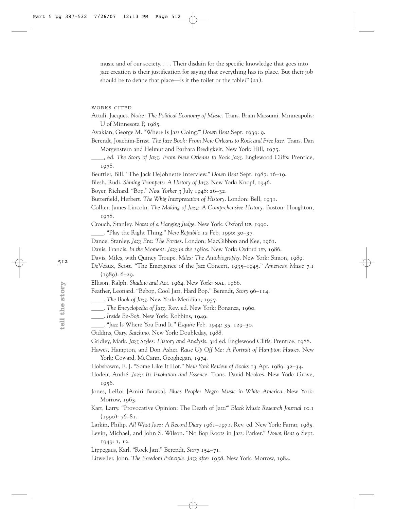music and of our society. . . . Their disdain for the specific knowledge that goes into jazz creation is their justification for saying that everything has its place. But their job should be to define that place—is it the toilet or the table?"  $(z_1)$ .

 $\overline{\phantom{a}}$ 

#### WORKS CITED

- Attali, Jacques. *Noise: The Political Economy of Music*. Trans. Brian Massumi. Minneapolis: U of Minnesota P, 1985.
- Avakian, George M. "Where Is Jazz Going?" *Down Beat* Sept. 1939: 9.
- Berendt, Joachim-Ernst. *The Jazz Book: From New Orleans to Rock and Free Jazz*. Trans. Dan Morgenstern and Helmut and Barbara Bredigkeit. New York: Hill, 1975.
- \_\_\_\_, ed. *The Story of Jazz: From New Orleans to Rock Jazz*. Englewood Cliffs: Prentice, 1978.
- Beuttler, Bill. "The Jack DeJohnette Interview." *Down Beat* Sept. 1987: 16–19.
- Blesh, Rudi. *Shining Trumpets: A History of Jazz*. New York: Knopf, 1946.
- Boyer, Richard. "Bop." *New Yorker* 3 July 1948: 26–32.
- Butterfield, Herbert. *The Whig Interpretation of History*. London: Bell, 1931.
- Collier, James Lincoln. *The Making of Jazz: A Comprehensive History*. Boston: Houghton, 1978.
- Crouch, Stanley. *Notes of a Hanging Judge*. New York: Oxford up, 1990.
- \_\_\_\_. "Play the Right Thing." *New Republic* 12 Feb. 1990: 30–37.
- Dance, Stanley. *Jazz Era: The Forties*. London: MacGibbon and Kee, 1961.
- Davis, Francis. *In the Moment: Jazz in the 1980s*. New York: Oxford up, 1986.
- Davis, Miles, with Quincy Troupe. *Miles: The Autobiography*. New York: Simon, 1989.
- DeVeaux, Scott. "The Emergence of the Jazz Concert, 1935–1945." *American Music* 7.1  $(1989): 6-29.$
- Ellison, Ralph. *Shadow and Act*. 1964. New York: nal, 1966.
- Feather, Leonard. "Bebop, Cool Jazz, Hard Bop." Berendt, *Story* 96–114.
- \_\_\_\_. *The Book of Jazz*. New York: Meridian, 1957.
- \_\_\_\_. *The Encyclopedia of Jazz*. Rev. ed. New York: Bonanza, 1960.
- \_\_\_\_. *Inside Be-Bop*. New York: Robbins, 1949.
- \_\_\_\_. "Jazz Is Where You Find It." *Esquire* Feb. 1944: 35, 129–30.
- Giddins, Gary. *Satchmo*. New York: Doubleday, 1988.
- Gridley, Mark. *Jazz Styles: History and Analysis*. 3rd ed. Englewood Cliffs: Prentice, 1988.
- Hawes, Hampton, and Don Asher. *Raise Up Off Me: A Portrait of Hampton Hawes*. New York: Coward, McCann, Geoghegan, 1974.
- Hobsbawm, E. J. "Some Like It Hot." *New York Review of Books* 13 Apr. 1989: 32–34.
- Hodeir, André. *Jazz: Its Evolution and Essence*. Trans. David Noakes. New York: Grove, 1956.
- Jones, LeRoi [Amiri Baraka]. *Blues People: Negro Music in White America*. New York: Morrow, 1963.
- Kart, Larry. "Provocative Opinion: The Death of Jazz?" *Black Music Research Journal* 10.1  $(1990): 76-81.$
- Larkin, Philip. *All What Jazz: A Record Diary 1961–1971*. Rev. ed. New York: Farrar, 1985.
- Levin, Michael, and John S. Wilson. "No Bop Roots in Jazz: Parker." *Down Beat* 9 Sept. 1949: 1, 12.
- Lippegaus, Karl. "Rock Jazz." Berendt, *Story* 154–71.
- Litweiler, John. *The Freedom Principle: Jazz after 1958*. New York: Morrow, 1984.

512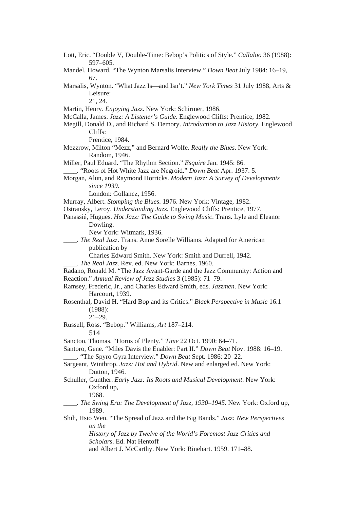Mandel, Howard. "The Wynton Marsalis Interview." *Down Beat* July 1984: 16–19, 67. Marsalis, Wynton. "What Jazz Is—and Isn't." *New York Times* 31 July 1988, Arts & Leisure: 21, 24 Martin, Henry. *Enjoying Jazz*. New York: Schirmer, 1986. McCalla, James. *Jazz: A Listener's Guide*. Englewood Cliffs: Prentice, 1982. Megill, Donald D., and Richard S. Demory. *Introduction to Jazz History*. Englewood Cliffs: Prentice, 1984. Mezzrow, Milton "Mezz," and Bernard Wolfe. *Really the Blues*. New York: Random, 1946. Miller, Paul Eduard. "The Rhythm Section." *Esquire* Jan. 1945: 86. \_\_\_\_. "Roots of Hot White Jazz are Negroid." *Down Beat* Apr. 1937: 5. Morgan, Alun, and Raymond Horricks. *Modern Jazz: A Survey of Developments since 1939*. London: Gollancz, 1956. Murray, Albert. *Stomping the Blues*. 1976. New York: Vintage, 1982. Ostransky, Leroy. *Understanding Jazz*. Englewood Cliffs: Prentice, 1977. Panassié, Hugues. *Hot Jazz: The Guide to Swing Music*. Trans. Lyle and Eleanor Dowling. New York: Witmark, 1936. \_\_\_\_. *The Real Jazz*. Trans. Anne Sorelle Williams. Adapted for American publication by Charles Edward Smith. New York: Smith and Durrell, 1942. \_\_\_\_. *The Real Jazz*. Rev. ed. New York: Barnes, 1960. Radano, Ronald M. "The Jazz Avant-Garde and the Jazz Community: Action and Reaction." *Annual Review of Jazz Studies* 3 (1985): 71–79. Ramsey, Frederic, Jr., and Charles Edward Smith, eds. *Jazzmen*. New York: Harcourt, 1939. Rosenthal, David H. "Hard Bop and its Critics." *Black Perspective in Music* 16.1 (1988): 21–29. Russell, Ross. "Bebop." Williams, *Art* 187–214. 514 Sancton, Thomas. "Horns of Plenty." *Time* 22 Oct. 1990: 64–71. Santoro, Gene. "Miles Davis the Enabler: Part II." *Down Beat* Nov. 1988: 16–19. \_\_\_\_. "The Spyro Gyra Interview." *Down Beat* Sept. 1986: 20–22. Sargeant, Winthrop. *Jazz: Hot and Hybrid*. New and enlarged ed. New York: Dutton, 1946. Schuller, Gunther. *Early Jazz: Its Roots and Musical Development*. New York: Oxford up, 1968. \_\_\_\_. *The Swing Era: The Development of Jazz, 1930–1945*. New York: Oxford up, 1989. Shih, Hsio Wen. "The Spread of Jazz and the Big Bands." *Jazz: New Perspectives on the* 

Lott, Eric. "Double V, Double-Time: Bebop's Politics of Style." *Callaloo* 36 (1988):

597–605.

*History of Jazz by Twelve of the World's Foremost Jazz Critics and Scholars*. Ed. Nat Hentoff

and Albert J. McCarthy. New York: Rinehart. 1959. 171–88.